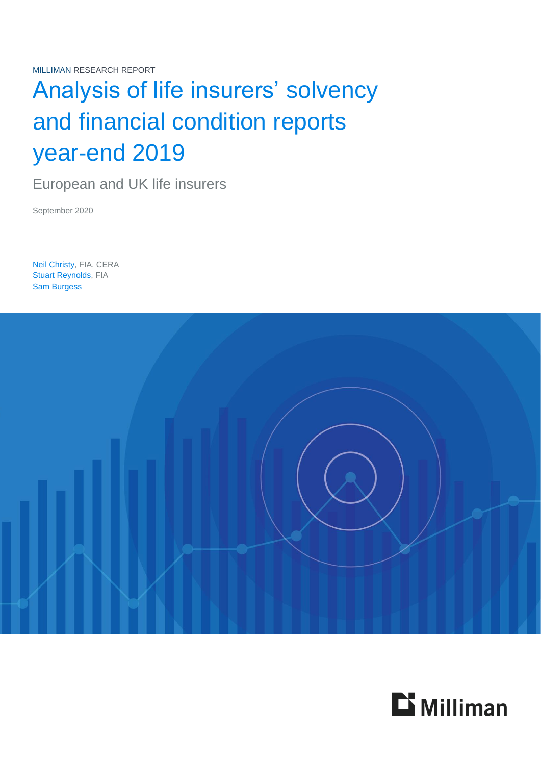MILLIMAN RESEARCH REPORT

# Analysis of life insurers' solvency and financial condition reports year-end 2019

European and UK life insurers

September 2020

Neil Christy, FIA, CERA Stuart Reynolds, FIA Sam Burgess



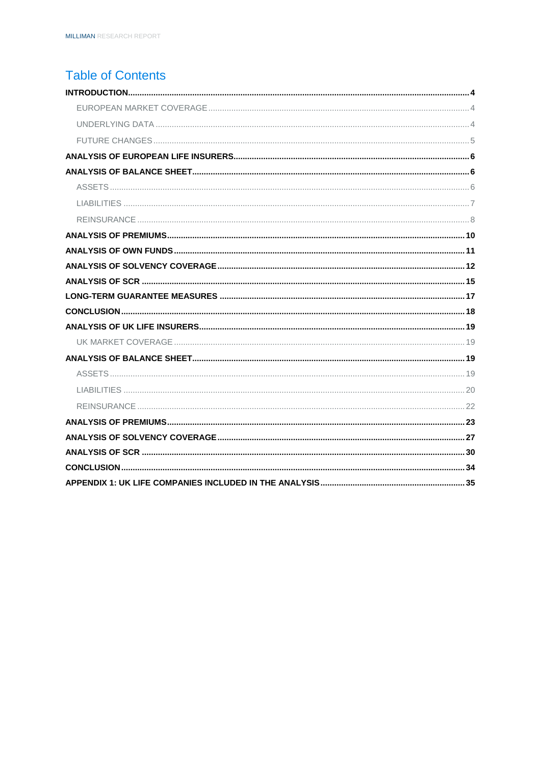## **Table of Contents**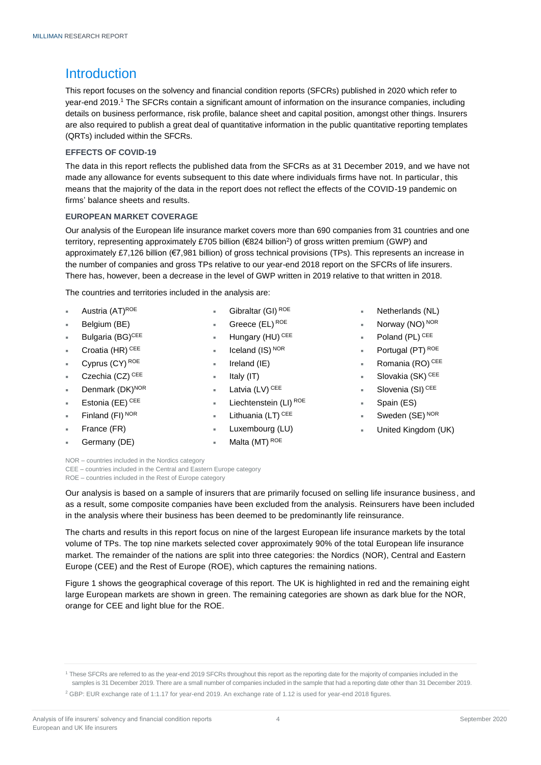### <span id="page-2-0"></span>**Introduction**

This report focuses on the solvency and financial condition reports (SFCRs) published in 2020 which refer to year-end 2019. <sup>1</sup> The SFCRs contain a significant amount of information on the insurance companies, including details on business performance, risk profile, balance sheet and capital position, amongst other things. Insurers are also required to publish a great deal of quantitative information in the public quantitative reporting templates (QRTs) included within the SFCRs.

#### **EFFECTS OF COVID-19**

The data in this report reflects the published data from the SFCRs as at 31 December 2019, and we have not made any allowance for events subsequent to this date where individuals firms have not. In particular, this means that the majority of the data in the report does not reflect the effects of the COVID-19 pandemic on firms' balance sheets and results.

#### <span id="page-2-1"></span>**EUROPEAN MARKET COVERAGE**

Our analysis of the European life insurance market covers more than 690 companies from 31 countries and one territory, representing approximately £705 billion (€824 billion<sup>2</sup>) of gross written premium (GWP) and approximately £7,126 billion (€7,981 billion) of gross technical provisions (TPs). This represents an increase in the number of companies and gross TPs relative to our year-end 2018 report on the SFCRs of life insurers. There has, however, been a decrease in the level of GWP written in 2019 relative to that written in 2018.

The countries and territories included in the analysis are:

- Austria (AT)ROE
- Belgium (BE)
- Bulgaria (BG)<sup>CEE</sup>
- Croatia (HR) CEE
- Cyprus (CY) ROE
- Czechia (CZ) CEE
- Denmark (DK)NOR
- Estonia (EE) CEE
- Finland (FI) NOR
- France (FR)
- Germany (DE)
- Gibraltar (GI) ROE
- Greece (EL) ROE
- Hungary (HU) CEE
- Iceland (IS) NOR
- Ireland (IE)
- Italy (IT)
- Latvia (LV) CEE
- Liechtenstein (LI) ROE
- Lithuania (LT) CEE
- Luxembourg (LU)
- Malta (MT) ROE
- Netherlands (NL)
- Norway (NO) NOR
- Poland (PL) CEE
- Portugal (PT) ROE
- Romania (RO) CEE
- Slovakia (SK) CEE
- Slovenia (SI)<sup>CEE</sup>
- Spain (ES)
- Sweden (SE) NOR
- United Kingdom (UK)

NOR – countries included in the Nordics category CEE – countries included in the Central and Eastern Europe category

ROE – countries included in the Rest of Europe category

Our analysis is based on a sample of insurers that are primarily focused on selling life insurance business, and as a result, some composite companies have been excluded from the analysis. Reinsurers have been included in the analysis where their business has been deemed to be predominantly life reinsurance.

The charts and results in this report focus on nine of the largest European life insurance markets by the total volume of TPs. The top nine markets selected cover approximately 90% of the total European life insurance market. The remainder of the nations are split into three categories: the Nordics (NOR), Central and Eastern Europe (CEE) and the Rest of Europe (ROE), which captures the remaining nations.

Figure 1 shows the geographical coverage of this report. The UK is highlighted in red and the remaining eight large European markets are shown in green. The remaining categories are shown as dark blue for the NOR, orange for CEE and light blue for the ROE.

<sup>&</sup>lt;sup>1</sup> These SFCRs are referred to as the year-end 2019 SFCRs throughout this report as the reporting date for the majority of companies included in the samples is 31 December 2019. There are a small number of companies included in the sample that had a reporting date other than 31 December 2019.

<sup>2</sup> GBP: EUR exchange rate of 1:1.17 for year-end 2019. An exchange rate of 1.12 is used for year-end 2018 figures.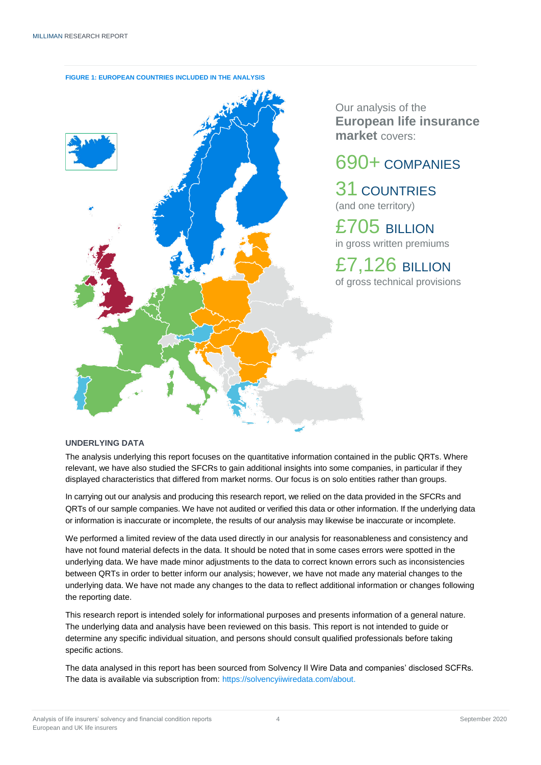

**FIGURE 1: EUROPEAN COUNTRIES INCLUDED IN THE ANALYSIS**

Our analysis of the **European life insurance market** covers:

# 690+ COMPANIES

31 COUNTRIES (and one territory)

£705 BILLION in gross written premiums

£7,126 BILLION of gross technical provisions

#### <span id="page-3-0"></span>**UNDERLYING DATA**

The analysis underlying this report focuses on the quantitative information contained in the public QRTs. Where relevant, we have also studied the SFCRs to gain additional insights into some companies, in particular if they displayed characteristics that differed from market norms. Our focus is on solo entities rather than groups.

In carrying out our analysis and producing this research report, we relied on the data provided in the SFCRs and QRTs of our sample companies. We have not audited or verified this data or other information. If the underlying data or information is inaccurate or incomplete, the results of our analysis may likewise be inaccurate or incomplete.

We performed a limited review of the data used directly in our analysis for reasonableness and consistency and have not found material defects in the data. It should be noted that in some cases errors were spotted in the underlying data. We have made minor adjustments to the data to correct known errors such as inconsistencies between QRTs in order to better inform our analysis; however, we have not made any material changes to the underlying data. We have not made any changes to the data to reflect additional information or changes following the reporting date.

This research report is intended solely for informational purposes and presents information of a general nature. The underlying data and analysis have been reviewed on this basis. This report is not intended to guide or determine any specific individual situation, and persons should consult qualified professionals before taking specific actions.

The data analysed in this report has been sourced from Solvency II Wire Data and companies' disclosed SCFRs. The data is available via subscription from: [https://solvencyiiwiredata.com/about.](https://solvencyiiwiredata.com/about/)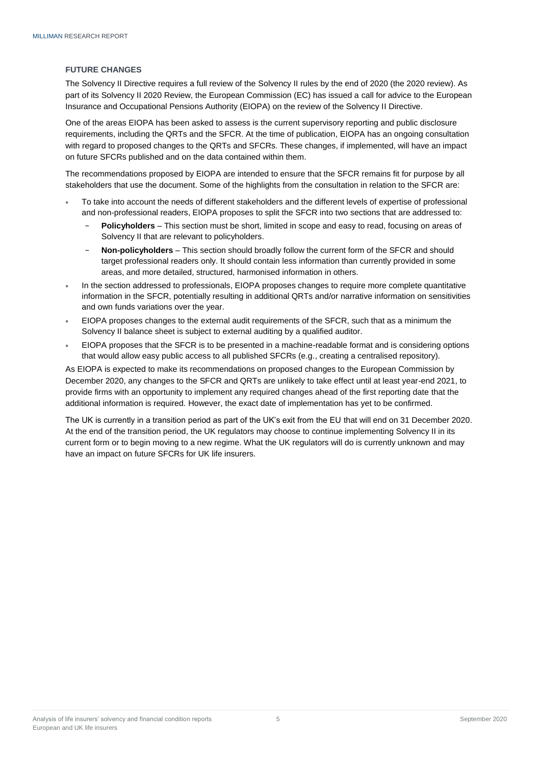#### <span id="page-4-0"></span>**FUTURE CHANGES**

The Solvency II Directive requires a full review of the Solvency II rules by the end of 2020 (the 2020 review). As part of its Solvency II 2020 Review, the European Commission (EC) has issued a call for advice to the European Insurance and Occupational Pensions Authority (EIOPA) on the review of the Solvency II Directive.

One of the areas EIOPA has been asked to assess is the current supervisory reporting and public disclosure requirements, including the QRTs and the SFCR. At the time of publication, EIOPA has an ongoing consultation with regard to proposed changes to the QRTs and SFCRs. These changes, if implemented, will have an impact on future SFCRs published and on the data contained within them.

The recommendations proposed by EIOPA are intended to ensure that the SFCR remains fit for purpose by all stakeholders that use the document. Some of the highlights from the consultation in relation to the SFCR are:

- To take into account the needs of different stakeholders and the different levels of expertise of professional and non-professional readers, EIOPA proposes to split the SFCR into two sections that are addressed to:
	- **Policyholders** This section must be short, limited in scope and easy to read, focusing on areas of Solvency II that are relevant to policyholders.
	- − **Non-policyholders** This section should broadly follow the current form of the SFCR and should target professional readers only. It should contain less information than currently provided in some areas, and more detailed, structured, harmonised information in others.
- In the section addressed to professionals, EIOPA proposes changes to require more complete quantitative information in the SFCR, potentially resulting in additional QRTs and/or narrative information on sensitivities and own funds variations over the year.
- EIOPA proposes changes to the external audit requirements of the SFCR, such that as a minimum the Solvency II balance sheet is subject to external auditing by a qualified auditor.
- EIOPA proposes that the SFCR is to be presented in a machine-readable format and is considering options that would allow easy public access to all published SFCRs (e.g., creating a centralised repository).

As EIOPA is expected to make its recommendations on proposed changes to the European Commission by December 2020, any changes to the SFCR and QRTs are unlikely to take effect until at least year-end 2021, to provide firms with an opportunity to implement any required changes ahead of the first reporting date that the additional information is required. However, the exact date of implementation has yet to be confirmed.

The UK is currently in a transition period as part of the UK's exit from the EU that will end on 31 December 2020. At the end of the transition period, the UK regulators may choose to continue implementing Solvency II in its current form or to begin moving to a new regime. What the UK regulators will do is currently unknown and may have an impact on future SFCRs for UK life insurers.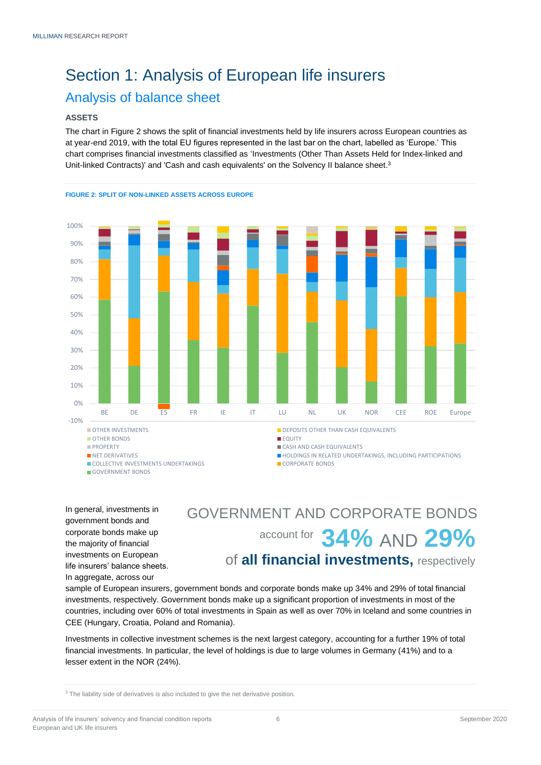# <span id="page-5-0"></span>Section 1: Analysis of European life insurers Analysis of balance sheet

#### <span id="page-5-2"></span><span id="page-5-1"></span>**ASSETS**

The chart in Figure 2 shows the split of financial investments held by life insurers across European countries as at year-end 2019, with the total EU figures represented in the last bar on the chart, labelled as 'Europe.' This chart comprises financial investments classified as 'Investments (Other Than Assets Held for Index-linked and Unit-linked Contracts)' and 'Cash and cash equivalents' on the Solvency II balance sheet. 3



#### **FIGURE 2: SPLIT OF NON-LINKED ASSETS ACROSS EUROPE**

In general, investments in government bonds and corporate bonds make up the majority of financial investments on European life insurers' balance sheets. In aggregate, across our

# account for 34% AND 29% of **all financial investments,** respectively GOVERNMENT AND CORPORATE BONDS

sample of European insurers, government bonds and corporate bonds make up 34% and 29% of total financial investments, respectively. Government bonds make up a significant proportion of investments in most of the countries, including over 60% of total investments in Spain as well as over 70% in Iceland and some countries in CEE (Hungary, Croatia, Poland and Romania).

Investments in collective investment schemes is the next largest category, accounting for a further 19% of total financial investments. In particular, the level of holdings is due to large volumes in Germany (41%) and to a lesser extent in the NOR (24%).

<sup>3</sup> The liability side of derivatives is also included to give the net derivative position.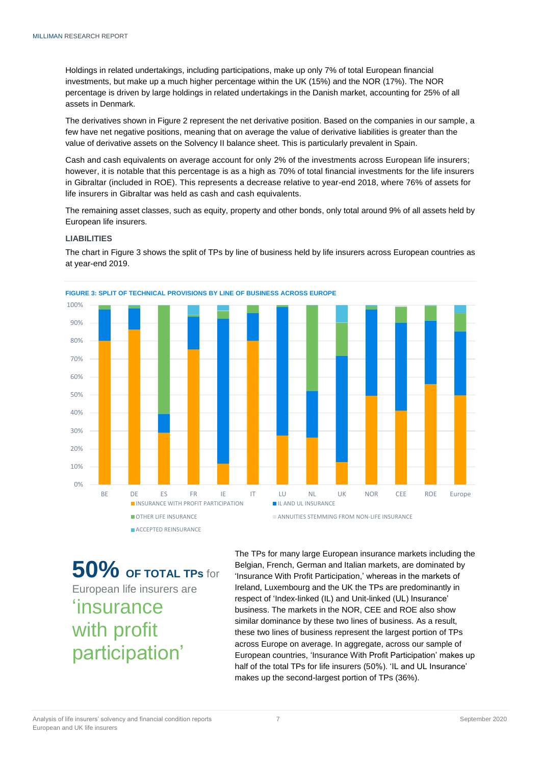Holdings in related undertakings, including participations, make up only 7% of total European financial investments, but make up a much higher percentage within the UK (15%) and the NOR (17%). The NOR percentage is driven by large holdings in related undertakings in the Danish market, accounting for 25% of all assets in Denmark.

The derivatives shown in Figure 2 represent the net derivative position. Based on the companies in our sample, a few have net negative positions, meaning that on average the value of derivative liabilities is greater than the value of derivative assets on the Solvency II balance sheet. This is particularly prevalent in Spain.

Cash and cash equivalents on average account for only 2% of the investments across European life insurers; however, it is notable that this percentage is as a high as 70% of total financial investments for the life insurers in Gibraltar (included in ROE). This represents a decrease relative to year-end 2018, where 76% of assets for life insurers in Gibraltar was held as cash and cash equivalents.

The remaining asset classes, such as equity, property and other bonds, only total around 9% of all assets held by European life insurers.

#### <span id="page-6-0"></span>**LIABILITIES**

The chart in Figure 3 shows the split of TPs by line of business held by life insurers across European countries as at year-end 2019.



**50% OF TOTAL TPs** for European life insurers are 'insurance with profit participation'

The TPs for many large European insurance markets including the Belgian, French, German and Italian markets, are dominated by 'Insurance With Profit Participation,' whereas in the markets of Ireland, Luxembourg and the UK the TPs are predominantly in respect of 'Index-linked (IL) and Unit-linked (UL) Insurance' business. The markets in the NOR, CEE and ROE also show similar dominance by these two lines of business. As a result, these two lines of business represent the largest portion of TPs across Europe on average. In aggregate, across our sample of European countries, 'Insurance With Profit Participation' makes up half of the total TPs for life insurers (50%). 'IL and UL Insurance' makes up the second-largest portion of TPs (36%).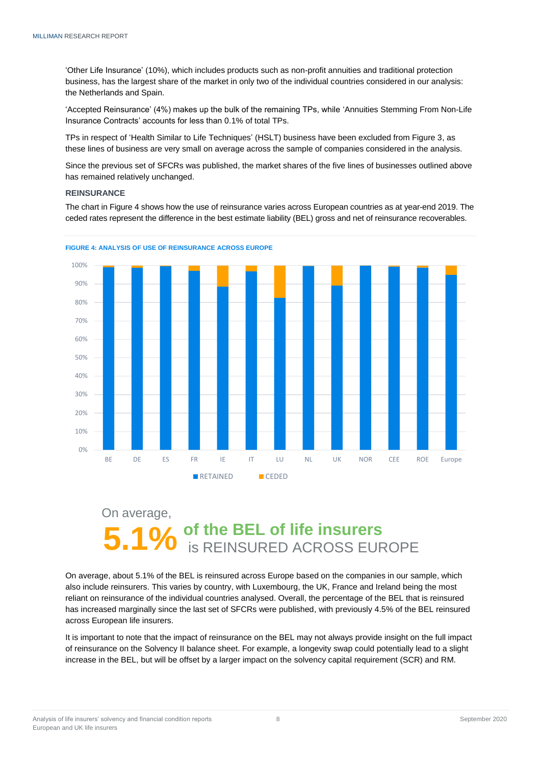'Other Life Insurance' (10%), which includes products such as non-profit annuities and traditional protection business, has the largest share of the market in only two of the individual countries considered in our analysis: the Netherlands and Spain.

'Accepted Reinsurance' (4%) makes up the bulk of the remaining TPs, while 'Annuities Stemming From Non-Life Insurance Contracts' accounts for less than 0.1% of total TPs.

TPs in respect of 'Health Similar to Life Techniques' (HSLT) business have been excluded from Figure 3, as these lines of business are very small on average across the sample of companies considered in the analysis.

Since the previous set of SFCRs was published, the market shares of the five lines of businesses outlined above has remained relatively unchanged.

#### <span id="page-7-0"></span>**REINSURANCE**

The chart in Figure 4 shows how the use of reinsurance varies across European countries as at year-end 2019. The ceded rates represent the difference in the best estimate liability (BEL) gross and net of reinsurance recoverables.





# On average, **of the BEL of life insurers**<br>**is REINSURED ACROSS EUROPE**

On average, about 5.1% of the BEL is reinsured across Europe based on the companies in our sample, which also include reinsurers. This varies by country, with Luxembourg, the UK, France and Ireland being the most reliant on reinsurance of the individual countries analysed. Overall, the percentage of the BEL that is reinsured has increased marginally since the last set of SFCRs were published, with previously 4.5% of the BEL reinsured across European life insurers.

It is important to note that the impact of reinsurance on the BEL may not always provide insight on the full impact of reinsurance on the Solvency II balance sheet. For example, a longevity swap could potentially lead to a slight increase in the BEL, but will be offset by a larger impact on the solvency capital requirement (SCR) and RM.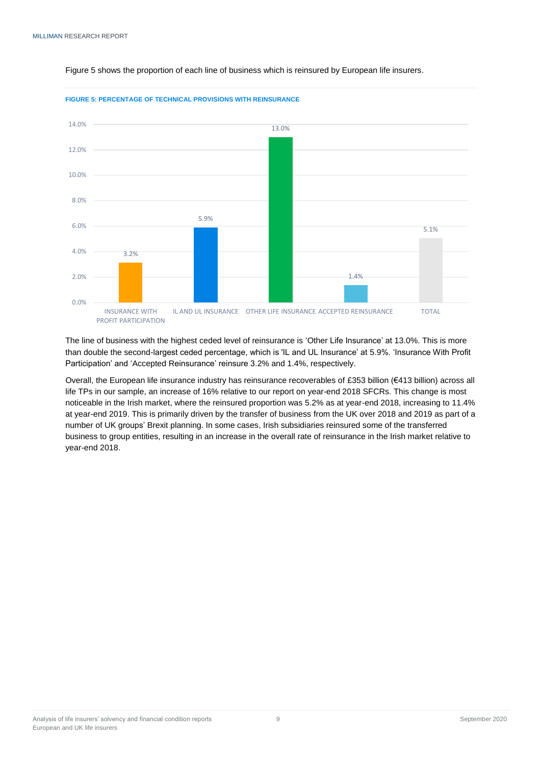

#### Figure 5 shows the proportion of each line of business which is reinsured by European life insurers.



The line of business with the highest ceded level of reinsurance is 'Other Life Insurance' at 13.0%. This is more than double the second-largest ceded percentage, which is 'IL and UL Insurance' at 5.9%. 'Insurance With Profit Participation' and 'Accepted Reinsurance' reinsure 3.2% and 1.4%, respectively.

Overall, the European life insurance industry has reinsurance recoverables of £353 billion (€413 billion) across all life TPs in our sample, an increase of 16% relative to our report on year-end 2018 SFCRs. This change is most noticeable in the Irish market, where the reinsured proportion was 5.2% as at year-end 2018, increasing to 11.4% at year-end 2019. This is primarily driven by the transfer of business from the UK over 2018 and 2019 as part of a number of UK groups' Brexit planning. In some cases, Irish subsidiaries reinsured some of the transferred business to group entities, resulting in an increase in the overall rate of reinsurance in the Irish market relative to year-end 2018.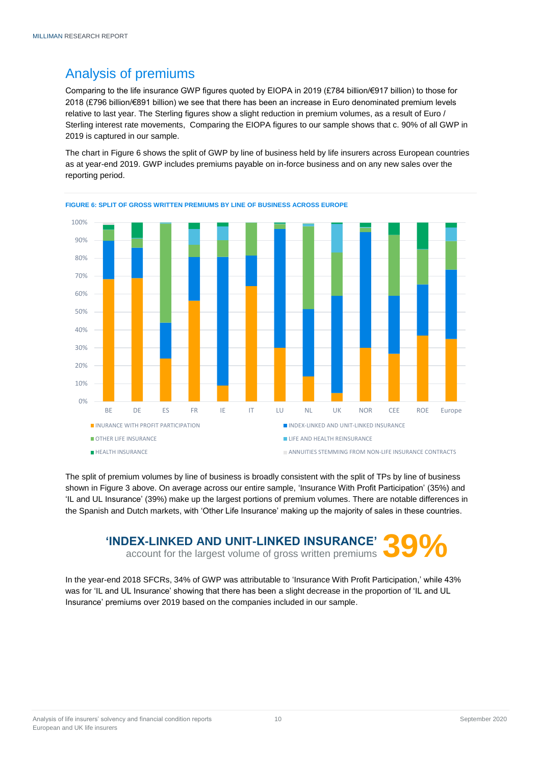# <span id="page-9-0"></span>Analysis of premiums

Comparing to the life insurance GWP figures quoted by EIOPA in 2019 (£784 billion/€917 billion) to those for 2018 (£796 billion/€891 billion) we see that there has been an increase in Euro denominated premium levels relative to last year. The Sterling figures show a slight reduction in premium volumes, as a result of Euro / Sterling interest rate movements, Comparing the EIOPA figures to our sample shows that c. 90% of all GWP in 2019 is captured in our sample.

The chart in Figure 6 shows the split of GWP by line of business held by life insurers across European countries as at year-end 2019. GWP includes premiums payable on in-force business and on any new sales over the reporting period.



**FIGURE 6: SPLIT OF GROSS WRITTEN PREMIUMS BY LINE OF BUSINESS ACROSS EUROPE**

The split of premium volumes by line of business is broadly consistent with the split of TPs by line of business shown in Figure 3 above. On average across our entire sample, 'Insurance With Profit Participation' (35%) and 'IL and UL Insurance' (39%) make up the largest portions of premium volumes. There are notable differences in the Spanish and Dutch markets, with 'Other Life Insurance' making up the majority of sales in these countries.

# **THEX-LINKED AND UNIT-LINKED INSURANCE'** 39%

In the year-end 2018 SFCRs, 34% of GWP was attributable to 'Insurance With Profit Participation,' while 43% was for 'IL and UL Insurance' showing that there has been a slight decrease in the proportion of 'IL and UL Insurance' premiums over 2019 based on the companies included in our sample.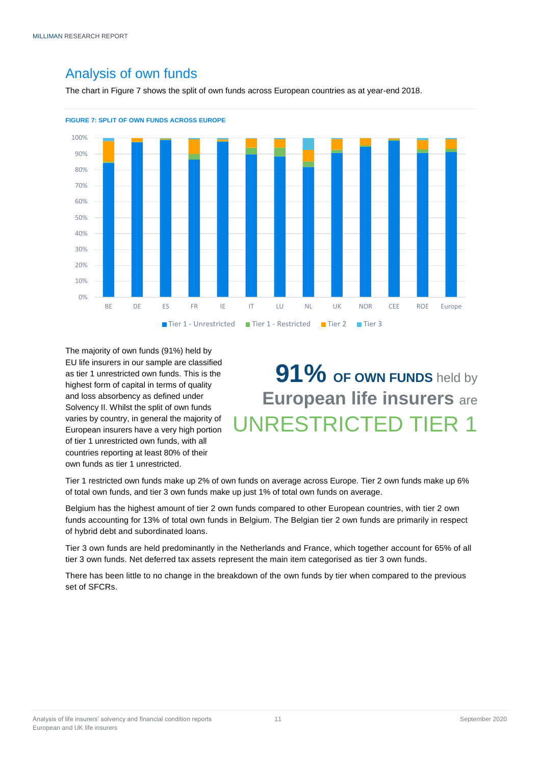## <span id="page-10-0"></span>Analysis of own funds

The chart in Figure 7 shows the split of own funds across European countries as at year-end 2018.





The majority of own funds (91%) held by EU life insurers in our sample are classified as tier 1 unrestricted own funds. This is the highest form of capital in terms of quality and loss absorbency as defined under Solvency II. Whilst the split of own funds varies by country, in general the majority of European insurers have a very high portion of tier 1 unrestricted own funds, with all countries reporting at least 80% of their own funds as tier 1 unrestricted.

# **91% OF OWN FUNDS** held by **European life insurers** are UNRESTRICTED TIER 1

Tier 1 restricted own funds make up 2% of own funds on average across Europe. Tier 2 own funds make up 6% of total own funds, and tier 3 own funds make up just 1% of total own funds on average.

Belgium has the highest amount of tier 2 own funds compared to other European countries, with tier 2 own funds accounting for 13% of total own funds in Belgium. The Belgian tier 2 own funds are primarily in respect of hybrid debt and subordinated loans.

Tier 3 own funds are held predominantly in the Netherlands and France, which together account for 65% of all tier 3 own funds. Net deferred tax assets represent the main item categorised as tier 3 own funds.

There has been little to no change in the breakdown of the own funds by tier when compared to the previous set of SFCRs.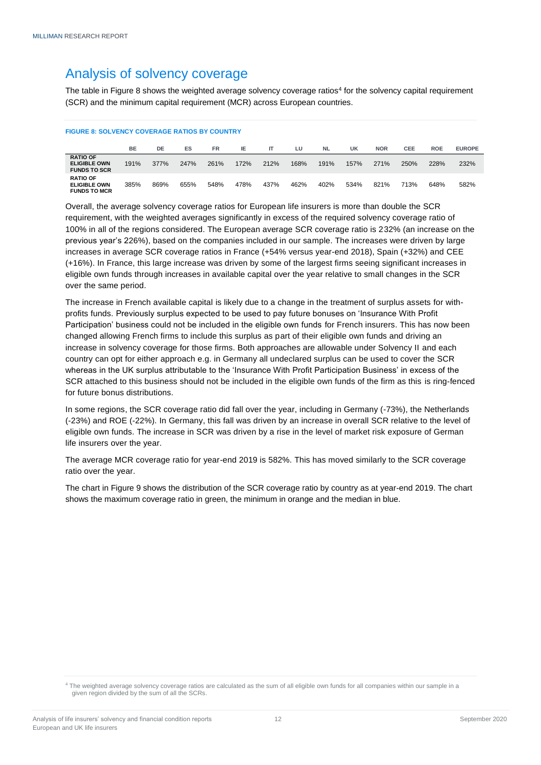## <span id="page-11-0"></span>Analysis of solvency coverage

The table in Figure 8 shows the weighted average solvency coverage ratios<sup>4</sup> for the solvency capital requirement (SCR) and the minimum capital requirement (MCR) across European countries.

#### **FIGURE 8: SOLVENCY COVERAGE RATIOS BY COUNTRY**

|                                                               | <b>BE</b> | DE   | ES   | <b>FR</b> | IE   |      | LU   | <b>NL</b> | UK   | <b>NOR</b> | <b>CEE</b> | <b>ROE</b> | <b>EUROPE</b> |
|---------------------------------------------------------------|-----------|------|------|-----------|------|------|------|-----------|------|------------|------------|------------|---------------|
| <b>RATIO OF</b><br><b>ELIGIBLE OWN</b><br><b>FUNDS TO SCR</b> | 191%      | 377% | 247% | 261%      | 172% | 212% | 168% | 191%      | 157% | 271%       | 250%       | 228%       | 232%          |
| <b>RATIO OF</b><br><b>ELIGIBLE OWN</b><br><b>FUNDS TO MCR</b> | 385%      | 869% | 655% | 548%      | 478% | 437% | 462% | 402%      | 534% | 821%       | 713%       | 648%       | 582%          |

Overall, the average solvency coverage ratios for European life insurers is more than double the SCR requirement, with the weighted averages significantly in excess of the required solvency coverage ratio of 100% in all of the regions considered. The European average SCR coverage ratio is 232% (an increase on the previous year's 226%), based on the companies included in our sample. The increases were driven by large increases in average SCR coverage ratios in France (+54% versus year-end 2018), Spain (+32%) and CEE (+16%). In France, this large increase was driven by some of the largest firms seeing significant increases in eligible own funds through increases in available capital over the year relative to small changes in the SCR over the same period.

The increase in French available capital is likely due to a change in the treatment of surplus assets for withprofits funds. Previously surplus expected to be used to pay future bonuses on 'Insurance With Profit Participation' business could not be included in the eligible own funds for French insurers. This has now been changed allowing French firms to include this surplus as part of their eligible own funds and driving an increase in solvency coverage for those firms. Both approaches are allowable under Solvency II and each country can opt for either approach e.g. in Germany all undeclared surplus can be used to cover the SCR whereas in the UK surplus attributable to the 'Insurance With Profit Participation Business' in excess of the SCR attached to this business should not be included in the eligible own funds of the firm as this is ring-fenced for future bonus distributions.

In some regions, the SCR coverage ratio did fall over the year, including in Germany (-73%), the Netherlands (-23%) and ROE (-22%). In Germany, this fall was driven by an increase in overall SCR relative to the level of eligible own funds. The increase in SCR was driven by a rise in the level of market risk exposure of German life insurers over the year.

The average MCR coverage ratio for year-end 2019 is 582%. This has moved similarly to the SCR coverage ratio over the year.

The chart in Figure 9 shows the distribution of the SCR coverage ratio by country as at year-end 2019. The chart shows the maximum coverage ratio in green, the minimum in orange and the median in blue.

<sup>4</sup> The weighted average solvency coverage ratios are calculated as the sum of all eligible own funds for all companies within our sample in a given region divided by the sum of all the SCRs.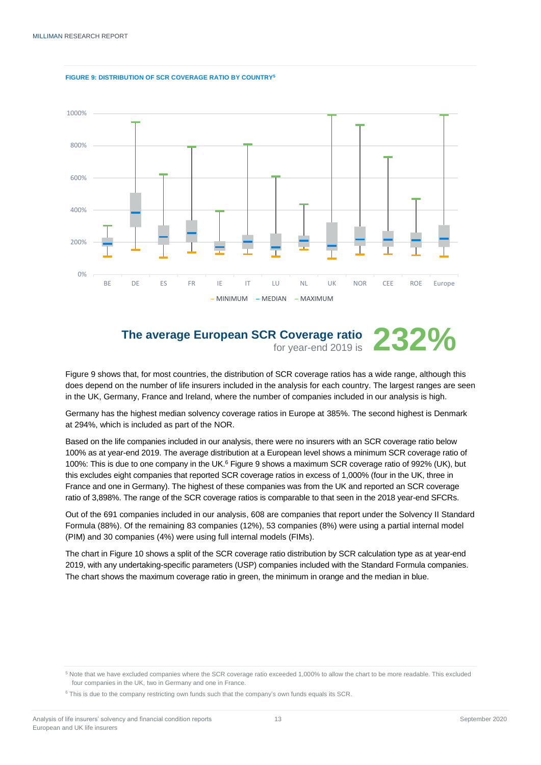



# **The average European SCR Coverage ratio**

for year-end 2019 is **232%**

Figure 9 shows that, for most countries, the distribution of SCR coverage ratios has a wide range, although this does depend on the number of life insurers included in the analysis for each country. The largest ranges are seen in the UK, Germany, France and Ireland, where the number of companies included in our analysis is high.

Germany has the highest median solvency coverage ratios in Europe at 385%. The second highest is Denmark at 294%, which is included as part of the NOR.

Based on the life companies included in our analysis, there were no insurers with an SCR coverage ratio below 100% as at year-end 2019. The average distribution at a European level shows a minimum SCR coverage ratio of 100%: This is due to one company in the UK.<sup>6</sup> Figure 9 shows a maximum SCR coverage ratio of 992% (UK), but this excludes eight companies that reported SCR coverage ratios in excess of 1,000% (four in the UK, three in France and one in Germany). The highest of these companies was from the UK and reported an SCR coverage ratio of 3,898%. The range of the SCR coverage ratios is comparable to that seen in the 2018 year-end SFCRs.

Out of the 691 companies included in our analysis, 608 are companies that report under the Solvency II Standard Formula (88%). Of the remaining 83 companies (12%), 53 companies (8%) were using a partial internal model (PIM) and 30 companies (4%) were using full internal models (FIMs).

The chart in Figure 10 shows a split of the SCR coverage ratio distribution by SCR calculation type as at year-end 2019, with any undertaking-specific parameters (USP) companies included with the Standard Formula companies. The chart shows the maximum coverage ratio in green, the minimum in orange and the median in blue.

<sup>5</sup> Note that we have excluded companies where the SCR coverage ratio exceeded 1,000% to allow the chart to be more readable. This excluded four companies in the UK, two in Germany and one in France.

<sup>6</sup> This is due to the company restricting own funds such that the company's own funds equals its SCR.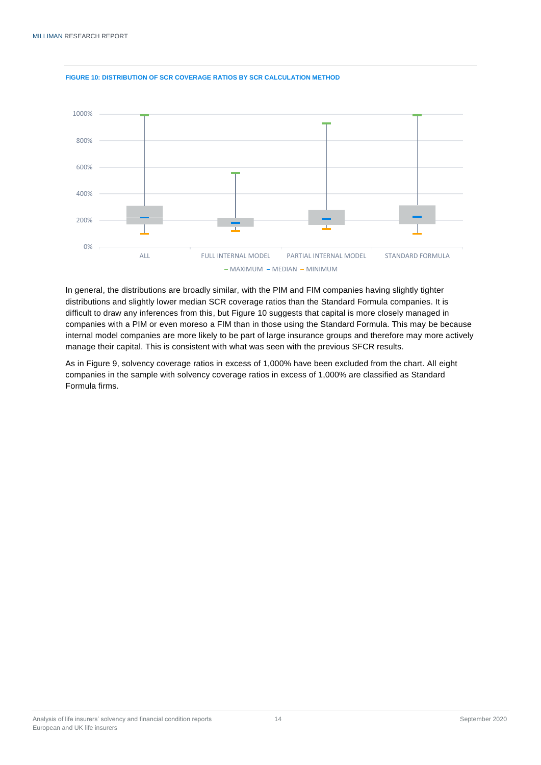

#### **FIGURE 10: DISTRIBUTION OF SCR COVERAGE RATIOS BY SCR CALCULATION METHOD**

In general, the distributions are broadly similar, with the PIM and FIM companies having slightly tighter distributions and slightly lower median SCR coverage ratios than the Standard Formula companies. It is difficult to draw any inferences from this, but Figure 10 suggests that capital is more closely managed in companies with a PIM or even moreso a FIM than in those using the Standard Formula. This may be because internal model companies are more likely to be part of large insurance groups and therefore may more actively manage their capital. This is consistent with what was seen with the previous SFCR results.

<span id="page-13-0"></span>As in Figure 9, solvency coverage ratios in excess of 1,000% have been excluded from the chart. All eight companies in the sample with solvency coverage ratios in excess of 1,000% are classified as Standard Formula firms.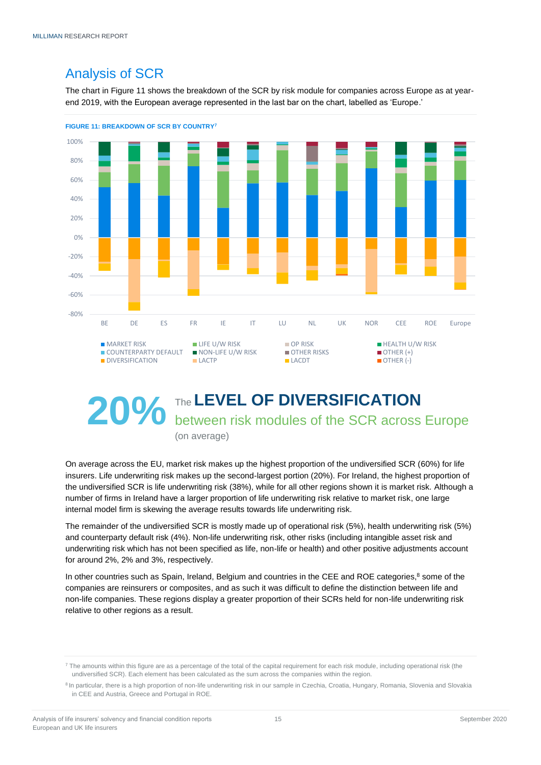# Analysis of SCR

The chart in Figure 11 shows the breakdown of the SCR by risk module for companies across Europe as at yearend 2019, with the European average represented in the last bar on the chart, labelled as 'Europe.'



# **20%** The LEVEL OF DIVERSIFICATION<br> **20%** between risk modules of the SCR across Europe (on average)

On average across the EU, market risk makes up the highest proportion of the undiversified SCR (60%) for life insurers. Life underwriting risk makes up the second-largest portion (20%). For Ireland, the highest proportion of the undiversified SCR is life underwriting risk (38%), while for all other regions shown it is market risk. Although a number of firms in Ireland have a larger proportion of life underwriting risk relative to market risk, one large internal model firm is skewing the average results towards life underwriting risk.

The remainder of the undiversified SCR is mostly made up of operational risk (5%), health underwriting risk (5%) and counterparty default risk (4%). Non-life underwriting risk, other risks (including intangible asset risk and underwriting risk which has not been specified as life, non-life or health) and other positive adjustments account for around 2%, 2% and 3%, respectively.

In other countries such as Spain, Ireland, Belgium and countries in the CEE and ROE categories,<sup>8</sup> some of the companies are reinsurers or composites, and as such it was difficult to define the distinction between life and non-life companies. These regions display a greater proportion of their SCRs held for non-life underwriting risk relative to other regions as a result.

<sup>&</sup>lt;sup>7</sup> The amounts within this figure are as a percentage of the total of the capital requirement for each risk module, including operational risk (the undiversified SCR). Each element has been calculated as the sum across the companies within the region.

<sup>&</sup>lt;sup>8</sup> In particular, there is a high proportion of non-life underwriting risk in our sample in Czechia, Croatia, Hungary, Romania, Slovenia and Slovakia in CEE and Austria, Greece and Portugal in ROE.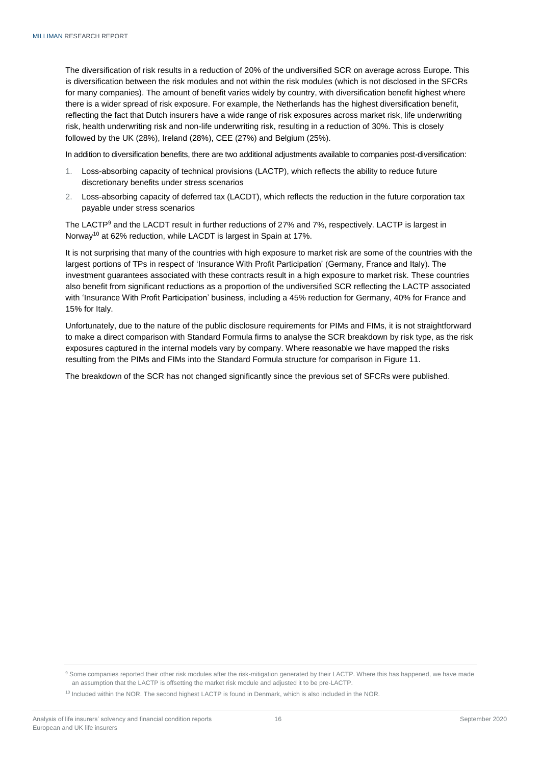The diversification of risk results in a reduction of 20% of the undiversified SCR on average across Europe. This is diversification between the risk modules and not within the risk modules (which is not disclosed in the SFCRs for many companies). The amount of benefit varies widely by country, with diversification benefit highest where there is a wider spread of risk exposure. For example, the Netherlands has the highest diversification benefit, reflecting the fact that Dutch insurers have a wide range of risk exposures across market risk, life underwriting risk, health underwriting risk and non-life underwriting risk, resulting in a reduction of 30%. This is closely followed by the UK (28%), Ireland (28%), CEE (27%) and Belgium (25%).

In addition to diversification benefits, there are two additional adjustments available to companies post-diversification:

- 1. Loss-absorbing capacity of technical provisions (LACTP), which reflects the ability to reduce future discretionary benefits under stress scenarios
- 2. Loss-absorbing capacity of deferred tax (LACDT), which reflects the reduction in the future corporation tax payable under stress scenarios

The LACTP<sup>9</sup> and the LACDT result in further reductions of 27% and 7%, respectively. LACTP is largest in Norway<sup>10</sup> at 62% reduction, while LACDT is largest in Spain at 17%.

It is not surprising that many of the countries with high exposure to market risk are some of the countries with the largest portions of TPs in respect of 'Insurance With Profit Participation' (Germany, France and Italy). The investment guarantees associated with these contracts result in a high exposure to market risk. These countries also benefit from significant reductions as a proportion of the undiversified SCR reflecting the LACTP associated with 'Insurance With Profit Participation' business, including a 45% reduction for Germany, 40% for France and 15% for Italy.

Unfortunately, due to the nature of the public disclosure requirements for PIMs and FIMs, it is not straightforward to make a direct comparison with Standard Formula firms to analyse the SCR breakdown by risk type, as the risk exposures captured in the internal models vary by company. Where reasonable we have mapped the risks resulting from the PIMs and FIMs into the Standard Formula structure for comparison in Figure 11.

The breakdown of the SCR has not changed significantly since the previous set of SFCRs were published.

<sup>9</sup> Some companies reported their other risk modules after the risk-mitigation generated by their LACTP. Where this has happened, we have made an assumption that the LACTP is offsetting the market risk module and adjusted it to be pre-LACTP.

<sup>&</sup>lt;sup>10</sup> Included within the NOR. The second highest LACTP is found in Denmark, which is also included in the NOR.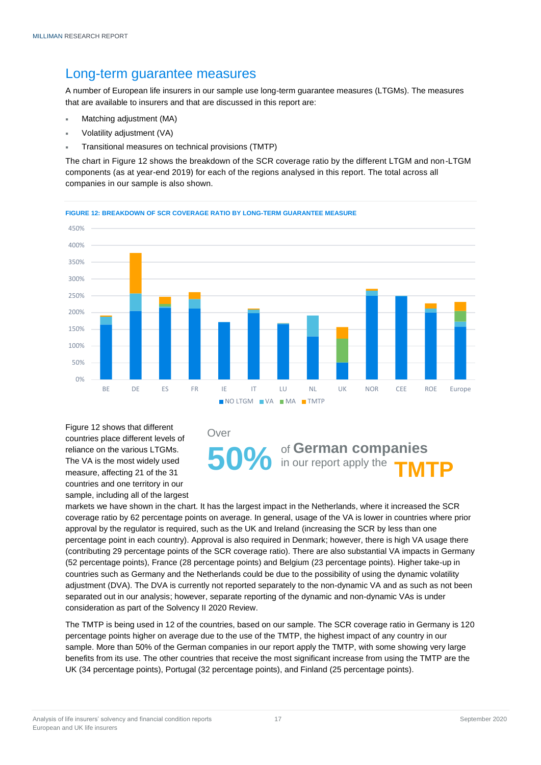### <span id="page-16-0"></span>Long-term guarantee measures

A number of European life insurers in our sample use long-term guarantee measures (LTGMs). The measures that are available to insurers and that are discussed in this report are:

- Matching adjustment (MA)
- Volatility adjustment (VA)
- Transitional measures on technical provisions (TMTP)

The chart in Figure 12 shows the breakdown of the SCR coverage ratio by the different LTGM and non-LTGM components (as at year-end 2019) for each of the regions analysed in this report. The total across all companies in our sample is also shown.



Figure 12 shows that different countries place different levels of reliance on the various LTGMs. The VA is the most widely used measure, affecting 21 of the 31 countries and one territory in our sample, including all of the largest

#### Over

of **German companies 50%** of German companies<br> **50%** in our report apply the **TMTP** 

markets we have shown in the chart. It has the largest impact in the Netherlands, where it increased the SCR coverage ratio by 62 percentage points on average. In general, usage of the VA is lower in countries where prior approval by the regulator is required, such as the UK and Ireland (increasing the SCR by less than one percentage point in each country). Approval is also required in Denmark; however, there is high VA usage there (contributing 29 percentage points of the SCR coverage ratio). There are also substantial VA impacts in Germany (52 percentage points), France (28 percentage points) and Belgium (23 percentage points). Higher take-up in countries such as Germany and the Netherlands could be due to the possibility of using the dynamic volatility adjustment (DVA). The DVA is currently not reported separately to the non-dynamic VA and as such as not been separated out in our analysis; however, separate reporting of the dynamic and non-dynamic VAs is under consideration as part of the Solvency II 2020 Review.

The TMTP is being used in 12 of the countries, based on our sample. The SCR coverage ratio in Germany is 120 percentage points higher on average due to the use of the TMTP, the highest impact of any country in our sample. More than 50% of the German companies in our report apply the TMTP, with some showing very large benefits from its use. The other countries that receive the most significant increase from using the TMTP are the UK (34 percentage points), Portugal (32 percentage points), and Finland (25 percentage points).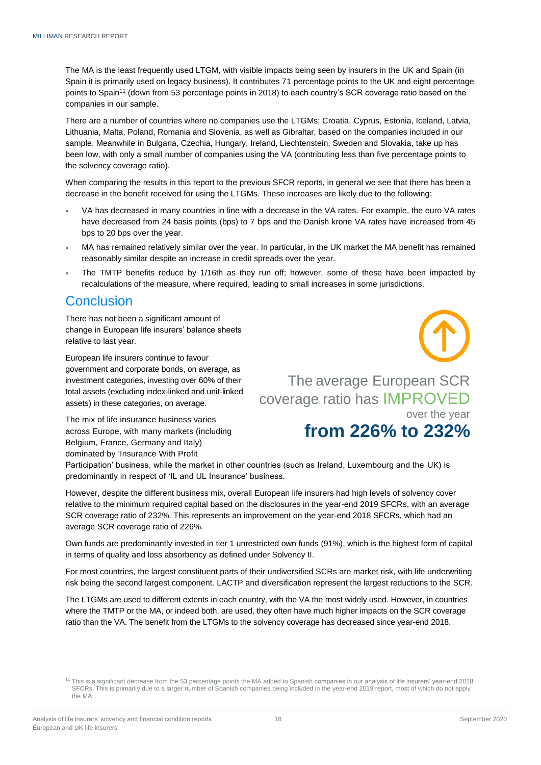The MA is the least frequently used LTGM, with visible impacts being seen by insurers in the UK and Spain (in Spain it is primarily used on legacy business). It contributes 71 percentage points to the UK and eight percentage points to Spain<sup>11</sup> (down from 53 percentage points in 2018) to each country's SCR coverage ratio based on the companies in our sample.

There are a number of countries where no companies use the LTGMs; Croatia, Cyprus, Estonia, Iceland, Latvia, Lithuania, Malta, Poland, Romania and Slovenia, as well as Gibraltar, based on the companies included in our sample. Meanwhile in Bulgaria, Czechia, Hungary, Ireland, Liechtenstein, Sweden and Slovakia, take up has been low, with only a small number of companies using the VA (contributing less than five percentage points to the solvency coverage ratio).

When comparing the results in this report to the previous SFCR reports, in general we see that there has been a decrease in the benefit received for using the LTGMs. These increases are likely due to the following:

- VA has decreased in many countries in line with a decrease in the VA rates. For example, the euro VA rates have decreased from 24 basis points (bps) to 7 bps and the Danish krone VA rates have increased from 45 bps to 20 bps over the year.
- MA has remained relatively similar over the year. In particular, in the UK market the MA benefit has remained reasonably similar despite an increase in credit spreads over the year.
- The TMTP benefits reduce by 1/16th as they run off; however, some of these have been impacted by recalculations of the measure, where required, leading to small increases in some jurisdictions.

### <span id="page-17-0"></span>**Conclusion**

There has not been a significant amount of change in European life insurers' balance sheets relative to last year.

European life insurers continue to favour government and corporate bonds, on average, as investment categories, investing over 60% of their total assets (excluding index-linked and unit-linked assets) in these categories, on average.

The mix of life insurance business varies across Europe, with many markets (including Belgium, France, Germany and Italy) dominated by 'Insurance With Profit

The average European SCR coverage ratio has IMPROVED over the year

# **from 226% to 232%**

Participation' business, while the market in other countries (such as Ireland, Luxembourg and the UK) is predominantly in respect of 'IL and UL Insurance' business.

However, despite the different business mix, overall European life insurers had high levels of solvency cover relative to the minimum required capital based on the disclosures in the year-end 2019 SFCRs, with an average SCR coverage ratio of 232%. This represents an improvement on the year-end 2018 SFCRs, which had an average SCR coverage ratio of 226%.

Own funds are predominantly invested in tier 1 unrestricted own funds (91%), which is the highest form of capital in terms of quality and loss absorbency as defined under Solvency II.

For most countries, the largest constituent parts of their undiversified SCRs are market risk, with life underwriting risk being the second largest component. LACTP and diversification represent the largest reductions to the SCR.

The LTGMs are used to different extents in each country, with the VA the most widely used. However, in countries where the TMTP or the MA, or indeed both, are used, they often have much higher impacts on the SCR coverage ratio than the VA. The benefit from the LTGMs to the solvency coverage has decreased since year-end 2018.

<sup>11</sup> This is a significant decrease from the 53 percentage points the MA added to Spanish companies in our analysis of life insurers' year-end 2018 SFCRs. This is primarily due to a larger number of Spanish companies being included in the year-end 2019 report, most of which do not apply the MA.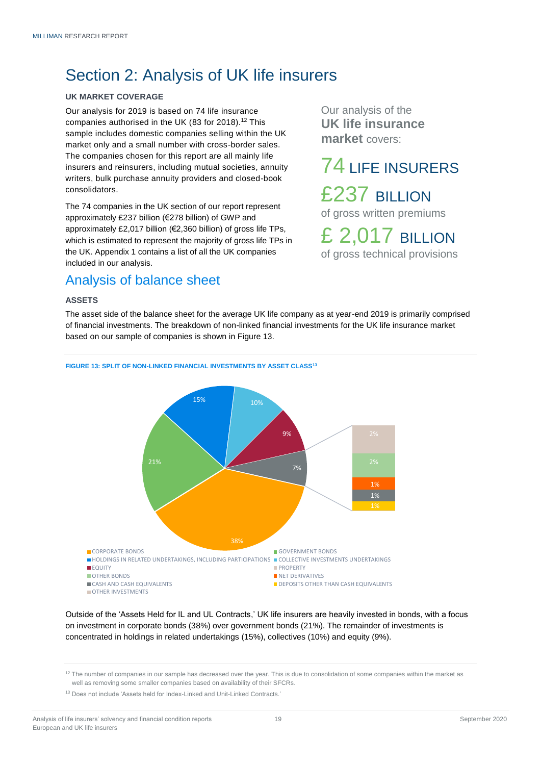# <span id="page-18-0"></span>Section 2: Analysis of UK life insurers

#### <span id="page-18-1"></span>**UK MARKET COVERAGE**

Our analysis for 2019 is based on 74 life insurance companies authorised in the UK (83 for 2018).<sup>12</sup> This sample includes domestic companies selling within the UK market only and a small number with cross-border sales. The companies chosen for this report are all mainly life insurers and reinsurers, including mutual societies, annuity writers, bulk purchase annuity providers and closed-book consolidators.

The 74 companies in the UK section of our report represent approximately £237 billion (€278 billion) of GWP and approximately £2,017 billion (€2,360 billion) of gross life TPs, which is estimated to represent the majority of gross life TPs in the UK. Appendix 1 contains a list of all the UK companies included in our analysis.

## <span id="page-18-2"></span>Analysis of balance sheet

#### <span id="page-18-3"></span>**ASSETS**

The asset side of the balance sheet for the average UK life company as at year-end 2019 is primarily comprised of financial investments. The breakdown of non-linked financial investments for the UK life insurance market based on our sample of companies is shown in Figure 13.



Outside of the 'Assets Held for IL and UL Contracts,' UK life insurers are heavily invested in bonds, with a focus on investment in corporate bonds (38%) over government bonds (21%). The remainder of investments is concentrated in holdings in related undertakings (15%), collectives (10%) and equity (9%).

Our analysis of the **UK life insurance market** covers:

74 LIFE INSURERS £237 BILLION of gross written premiums

£ 2,017 BILLION of gross technical provisions

<sup>&</sup>lt;sup>12</sup> The number of companies in our sample has decreased over the year. This is due to consolidation of some companies within the market as well as removing some smaller companies based on availability of their SFCRs.

<sup>&</sup>lt;sup>13</sup> Does not include 'Assets held for Index-Linked and Unit-Linked Contracts.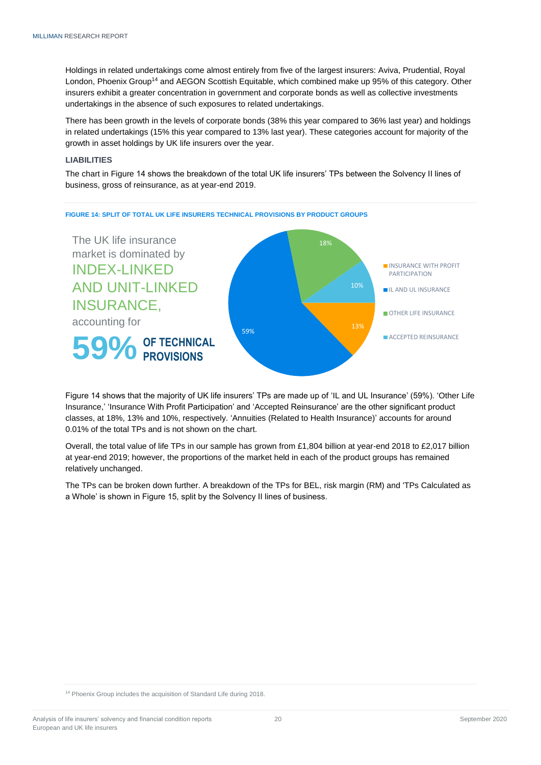Holdings in related undertakings come almost entirely from five of the largest insurers: Aviva, Prudential, Royal London, Phoenix Group<sup>14</sup> and AEGON Scottish Equitable, which combined make up 95% of this category. Other insurers exhibit a greater concentration in government and corporate bonds as well as collective investments undertakings in the absence of such exposures to related undertakings.

There has been growth in the levels of corporate bonds (38% this year compared to 36% last year) and holdings in related undertakings (15% this year compared to 13% last year). These categories account for majority of the growth in asset holdings by UK life insurers over the year.

#### <span id="page-19-0"></span>**LIABILITIES**

The chart in Figure 14 shows the breakdown of the total UK life insurers' TPs between the Solvency II lines of business, gross of reinsurance, as at year-end 2019.



Figure 14 shows that the majority of UK life insurers' TPs are made up of 'IL and UL Insurance' (59%). 'Other Life Insurance,' 'Insurance With Profit Participation' and 'Accepted Reinsurance' are the other significant product classes, at 18%, 13% and 10%, respectively. 'Annuities (Related to Health Insurance)' accounts for around 0.01% of the total TPs and is not shown on the chart.

Overall, the total value of life TPs in our sample has grown from £1,804 billion at year-end 2018 to £2,017 billion at year-end 2019; however, the proportions of the market held in each of the product groups has remained relatively unchanged.

The TPs can be broken down further. A breakdown of the TPs for BEL, risk margin (RM) and 'TPs Calculated as a Whole' is shown in Figure 15, split by the Solvency II lines of business.

<sup>&</sup>lt;sup>14</sup> Phoenix Group includes the acquisition of Standard Life during 2018.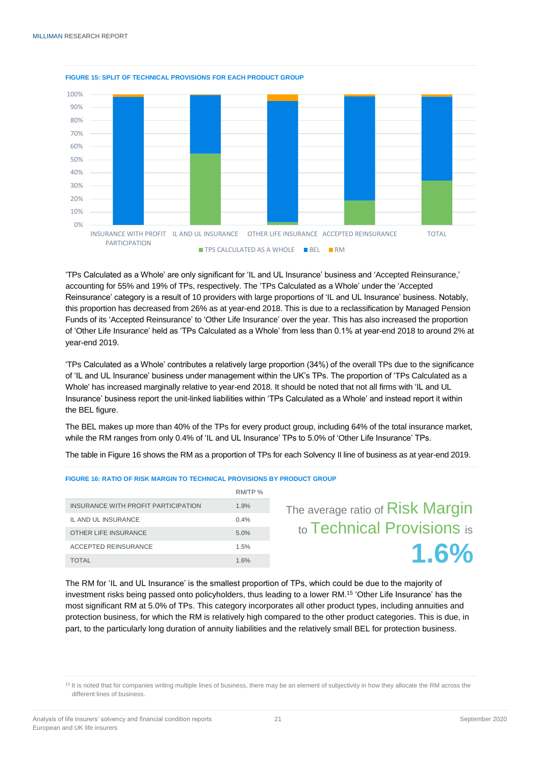

#### **FIGURE 15: SPLIT OF TECHNICAL PROVISIONS FOR EACH PRODUCT GROUP**

'TPs Calculated as a Whole' are only significant for 'IL and UL Insurance' business and 'Accepted Reinsurance,' accounting for 55% and 19% of TPs, respectively. The 'TPs Calculated as a Whole' under the 'Accepted Reinsurance' category is a result of 10 providers with large proportions of 'IL and UL Insurance' business. Notably, this proportion has decreased from 26% as at year-end 2018. This is due to a reclassification by Managed Pension Funds of its 'Accepted Reinsurance' to 'Other Life Insurance' over the year. This has also increased the proportion of 'Other Life Insurance' held as 'TPs Calculated as a Whole' from less than 0.1% at year-end 2018 to around 2% at year-end 2019.

'TPs Calculated as a Whole' contributes a relatively large proportion (34%) of the overall TPs due to the significance of 'IL and UL Insurance' business under management within the UK's TPs. The proportion of 'TPs Calculated as a Whole' has increased marginally relative to year-end 2018. It should be noted that not all firms with 'IL and UL Insurance' business report the unit-linked liabilities within 'TPs Calculated as a Whole' and instead report it within the BEL figure.

The BEL makes up more than 40% of the TPs for every product group, including 64% of the total insurance market, while the RM ranges from only 0.4% of 'IL and UL Insurance' TPs to 5.0% of 'Other Life Insurance' TPs.

The table in Figure 16 shows the RM as a proportion of TPs for each Solvency II line of business as at year-end 2019.

|                                     | RM/TP % |                                  |
|-------------------------------------|---------|----------------------------------|
| INSURANCE WITH PROFIT PARTICIPATION | 1.9%    | The average ratio of Risk Margin |
| IL AND UL INSURANCE                 | 0.4%    |                                  |
| OTHER LIFE INSURANCE                | 5.0%    | to Technical Provisions is       |
| <b>ACCEPTED REINSURANCE</b>         | 1.5%    | 1.6%                             |
| <b>TOTAL</b>                        | 1.6%    |                                  |

#### **FIGURE 16: RATIO OF RISK MARGIN TO TECHNICAL PROVISIONS BY PRODUCT GROUP**

The RM for 'IL and UL Insurance' is the smallest proportion of TPs, which could be due to the majority of The RM for 'IL and UL Insurance' is the smallest proportion of TPs, which could be due to the majority of<br>investment risks being passed onto policyholders, thus leading to a lower RM.<sup>15</sup> 'Other Life Insurance' has the most significant RM at 5.0% of TPs. This category incorporates all other product types, including annuities and protection business, for which the RM is relatively high compared to the other product categories. This is due, in part, to the particularly long duration of annuity liabilities and the relatively small BEL for protection business.

<sup>&</sup>lt;sup>15</sup> It is noted that for companies writing multiple lines of business, there may be an element of subjectivity in how they allocate the RM across the different lines of business.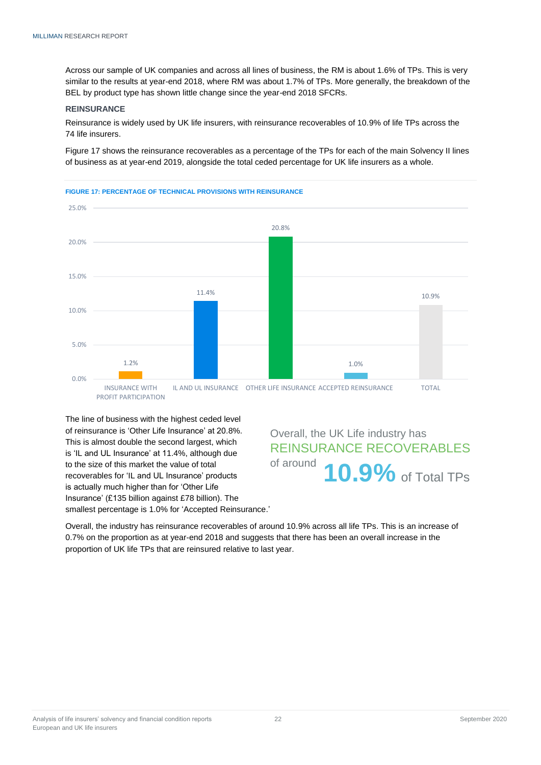Across our sample of UK companies and across all lines of business, the RM is about 1.6% of TPs. This is very similar to the results at year-end 2018, where RM was about 1.7% of TPs. More generally, the breakdown of the BEL by product type has shown little change since the year-end 2018 SFCRs.

#### <span id="page-21-0"></span>**REINSURANCE**

Reinsurance is widely used by UK life insurers, with reinsurance recoverables of 10.9% of life TPs across the 74 life insurers.

Figure 17 shows the reinsurance recoverables as a percentage of the TPs for each of the main Solvency II lines of business as at year-end 2019, alongside the total ceded percentage for UK life insurers as a whole.





The line of business with the highest ceded level of reinsurance is 'Other Life Insurance' at 20.8%. This is almost double the second largest, which is 'IL and UL Insurance' at 11.4%, although due to the size of this market the value of total recoverables for 'IL and UL Insurance' products is actually much higher than for 'Other Life Insurance' (£135 billion against £78 billion). The smallest percentage is 1.0% for 'Accepted Reinsurance.'

Overall, the UK Life industry has REINSURANCE RECOVERABLES of around **10.9%** of Total TPs

Overall, the industry has reinsurance recoverables of around 10.9% across all life TPs. This is an increase of 0.7% on the proportion as at year-end 2018 and suggests that there has been an overall increase in the proportion of UK life TPs that are reinsured relative to last year.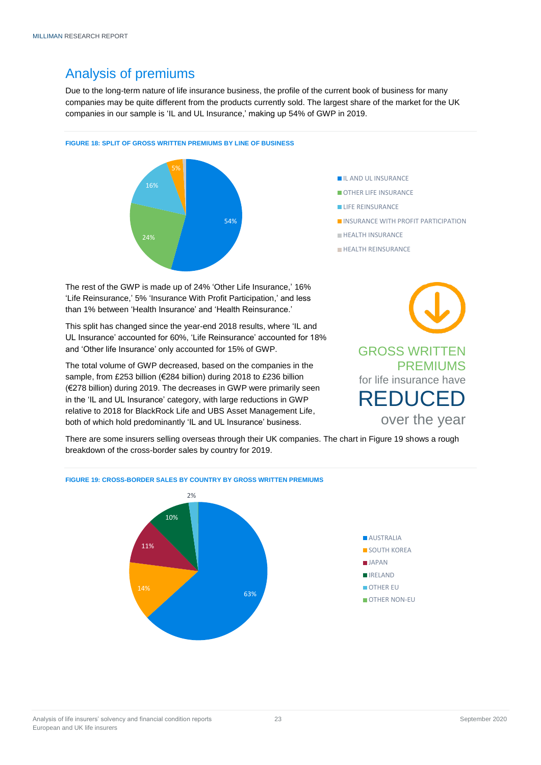## <span id="page-22-0"></span>Analysis of premiums

Due to the long-term nature of life insurance business, the profile of the current book of business for many companies may be quite different from the products currently sold. The largest share of the market for the UK companies in our sample is 'IL and UL Insurance,' making up 54% of GWP in 2019.

#### **FIGURE 18: SPLIT OF GROSS WRITTEN PREMIUMS BY LINE OF BUSINESS**



**IL AND UL INSURANCE** 

- OTHER LIFE INSURANCE
- **LIFE REINSURANCE**
- **INSURANCE WITH PROFIT PARTICIPATION**
- **HEALTH INSURANCE**
- **HEALTH REINSURANCE**

The rest of the GWP is made up of 24% 'Other Life Insurance,' 16% 'Life Reinsurance,' 5% 'Insurance With Profit Participation,' and less than 1% between 'Health Insurance' and 'Health Reinsurance.'

This split has changed since the year-end 2018 results, where 'IL and UL Insurance' accounted for 60%, 'Life Reinsurance' accounted for 18% and 'Other life Insurance' only accounted for 15% of GWP.

The total volume of GWP decreased, based on the companies in the sample, from £253 billion (€284 billion) during 2018 to £236 billion (€278 billion) during 2019. The decreases in GWP were primarily seen in the 'IL and UL Insurance' category, with large reductions in GWP relative to 2018 for BlackRock Life and UBS Asset Management Life, both of which hold predominantly 'IL and UL Insurance' business.

**FIGURE 19: CROSS-BORDER SALES BY COUNTRY BY GROSS WRITTEN PREMIUMS**



There are some insurers selling overseas through their UK companies. The chart in Figure 19 shows a rough breakdown of the cross-border sales by country for 2019.

63%

# 10%  $20/$



14%

11%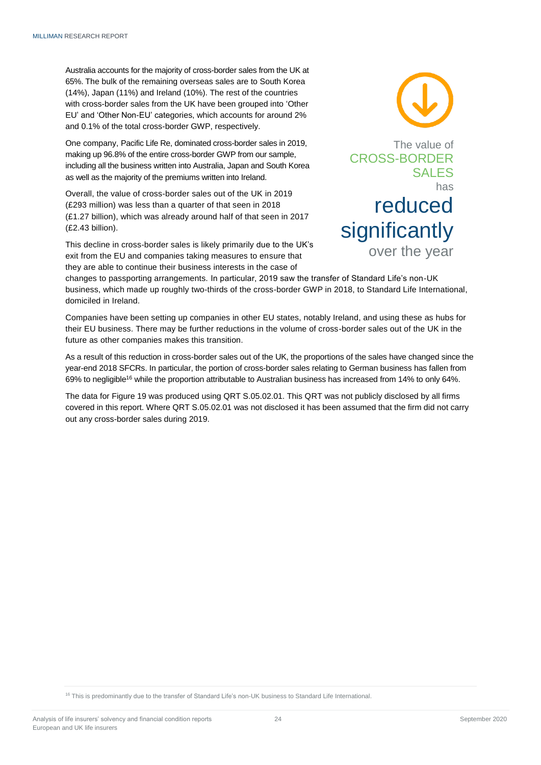Australia accounts for the majority of cross-border sales from the UK at 65%. The bulk of the remaining overseas sales are to South Korea (14%), Japan (11%) and Ireland (10%). The rest of the countries with cross-border sales from the UK have been grouped into 'Other EU' and 'Other Non-EU' categories, which accounts for around 2% and 0.1% of the total cross-border GWP, respectively.

One company, Pacific Life Re, dominated cross-border sales in 2019, making up 96.8% of the entire cross-border GWP from our sample, including all the business written into Australia, Japan and South Korea as well as the majority of the premiums written into Ireland.

Overall, the value of cross-border sales out of the UK in 2019 (£293 million) was less than a quarter of that seen in 2018 (£1.27 billion), which was already around half of that seen in 2017 (£2.43 billion).

This decline in cross-border sales is likely primarily due to the UK's exit from the EU and companies taking measures to ensure that they are able to continue their business interests in the case of



changes to passporting arrangements. In particular, 2019 saw the transfer of Standard Life's non-UK business, which made up roughly two-thirds of the cross-border GWP in 2018, to Standard Life International, domiciled in Ireland.

Companies have been setting up companies in other EU states, notably Ireland, and using these as hubs for their EU business. There may be further reductions in the volume of cross-border sales out of the UK in the future as other companies makes this transition.

As a result of this reduction in cross-border sales out of the UK, the proportions of the sales have changed since the year-end 2018 SFCRs. In particular, the portion of cross-border sales relating to German business has fallen from 69% to negligible<sup>16</sup> while the proportion attributable to Australian business has increased from 14% to only 64%.

The data for Figure 19 was produced using QRT S.05.02.01. This QRT was not publicly disclosed by all firms covered in this report. Where QRT S.05.02.01 was not disclosed it has been assumed that the firm did not carry out any cross-border sales during 2019.

<sup>16</sup> This is predominantly due to the transfer of Standard Life's non-UK business to Standard Life International.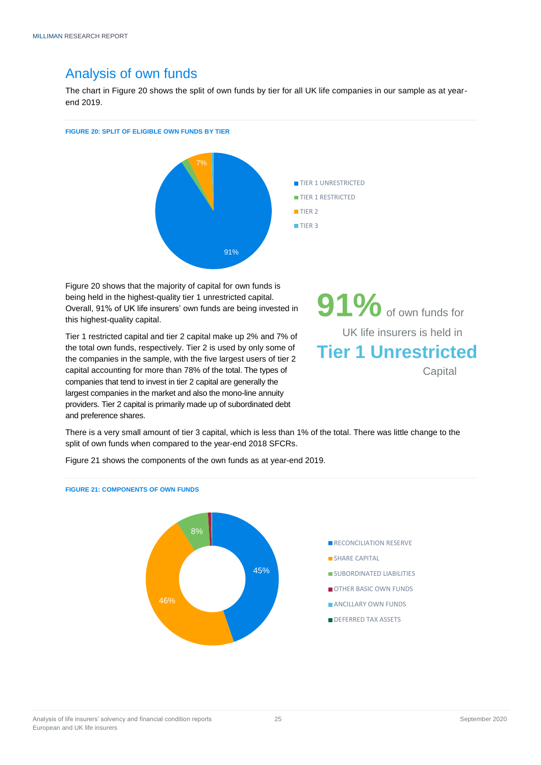### Analysis of own funds

The chart in Figure 20 shows the split of own funds by tier for all UK life companies in our sample as at yearend 2019.

#### **FIGURE 20: SPLIT OF ELIGIBLE OWN FUNDS BY TIER**



Figure 20 shows that the majority of capital for own funds is being held in the highest-quality tier 1 unrestricted capital. Overall, 91% of UK life insurers' own funds are being invested in this highest-quality capital.

Tier 1 restricted capital and tier 2 capital make up 2% and 7% of the total own funds, respectively. Tier 2 is used by only some of the companies in the sample, with the five largest users of tier 2 capital accounting for more than 78% of the total. The types of companies that tend to invest in tier 2 capital are generally the largest companies in the market and also the mono-line annuity providers. Tier 2 capital is primarily made up of subordinated debt and preference shares.

**91%**of own funds for UK life insurers is held in **Tier 1 Unrestricted Capital** 

There is a very small amount of tier 3 capital, which is less than 1% of the total. There was little change to the split of own funds when compared to the year-end 2018 SFCRs.

Figure 21 shows the components of the own funds as at year-end 2019.

# **FIGURE 21: COMPONENTS OF OWN FUNDS**

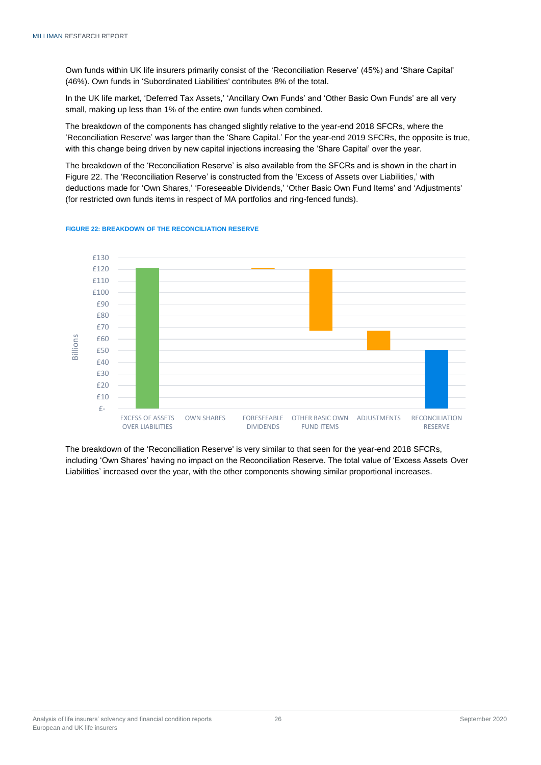Own funds within UK life insurers primarily consist of the 'Reconciliation Reserve' (45%) and 'Share Capital' (46%). Own funds in 'Subordinated Liabilities' contributes 8% of the total.

In the UK life market, 'Deferred Tax Assets,' 'Ancillary Own Funds' and 'Other Basic Own Funds' are all very small, making up less than 1% of the entire own funds when combined.

The breakdown of the components has changed slightly relative to the year-end 2018 SFCRs, where the 'Reconciliation Reserve' was larger than the 'Share Capital.' For the year-end 2019 SFCRs, the opposite is true, with this change being driven by new capital injections increasing the 'Share Capital' over the year.

The breakdown of the 'Reconciliation Reserve' is also available from the SFCRs and is shown in the chart in Figure 22. The 'Reconciliation Reserve' is constructed from the 'Excess of Assets over Liabilities,' with deductions made for 'Own Shares,' 'Foreseeable Dividends,' 'Other Basic Own Fund Items' and 'Adjustments' (for restricted own funds items in respect of MA portfolios and ring-fenced funds).



**FIGURE 22: BREAKDOWN OF THE RECONCILIATION RESERVE**

The breakdown of the 'Reconciliation Reserve' is very similar to that seen for the year-end 2018 SFCRs, including 'Own Shares' having no impact on the Reconciliation Reserve. The total value of 'Excess Assets Over Liabilities' increased over the year, with the other components showing similar proportional increases.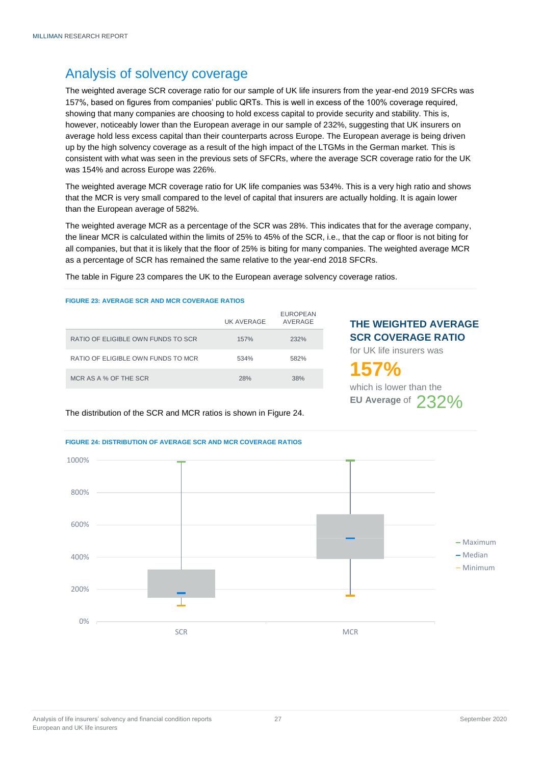# <span id="page-26-0"></span>Analysis of solvency coverage

The weighted average SCR coverage ratio for our sample of UK life insurers from the year-end 2019 SFCRs was 157%, based on figures from companies' public QRTs. This is well in excess of the 100% coverage required, showing that many companies are choosing to hold excess capital to provide security and stability. This is, however, noticeably lower than the European average in our sample of 232%, suggesting that UK insurers on average hold less excess capital than their counterparts across Europe. The European average is being driven up by the high solvency coverage as a result of the high impact of the LTGMs in the German market. This is consistent with what was seen in the previous sets of SFCRs, where the average SCR coverage ratio for the UK was 154% and across Europe was 226%.

The weighted average MCR coverage ratio for UK life companies was 534%. This is a very high ratio and shows that the MCR is very small compared to the level of capital that insurers are actually holding. It is again lower than the European average of 582%.

The weighted average MCR as a percentage of the SCR was 28%. This indicates that for the average company, the linear MCR is calculated within the limits of 25% to 45% of the SCR, i.e., that the cap or floor is not biting for all companies, but that it is likely that the floor of 25% is biting for many companies. The weighted average MCR as a percentage of SCR has remained the same relative to the year-end 2018 SFCRs.

The table in Figure 23 compares the UK to the European average solvency coverage ratios.

#### **FIGURE 23: AVERAGE SCR AND MCR COVERAGE RATIOS**

|                                    | UK AVERAGE | <b>EUROPEAN</b><br>AVERAGE |
|------------------------------------|------------|----------------------------|
| RATIO OF ELIGIBLE OWN FUNDS TO SCR | 157%       | 232%                       |
| RATIO OF ELIGIBLE OWN FUNDS TO MCR | 534%       | 582%                       |
| MCR AS A % OF THE SCR              | 28%        | 38%                        |

#### **THE WEIGHTED AVERAGE SCR COVERAGE RATIO**

for UK life insurers was

# **157%**

which is lower than the **EU Average of 232%** 

The distribution of the SCR and MCR ratios is shown in Figure 24.



#### **FIGURE 24: DISTRIBUTION OF AVERAGE SCR AND MCR COVERAGE RATIOS**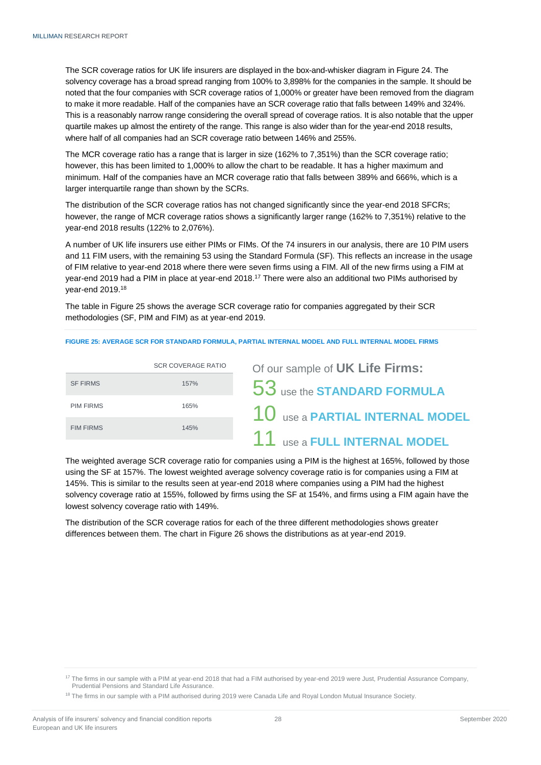The SCR coverage ratios for UK life insurers are displayed in the box-and-whisker diagram in Figure 24. The solvency coverage has a broad spread ranging from 100% to 3,898% for the companies in the sample. It should be noted that the four companies with SCR coverage ratios of 1,000% or greater have been removed from the diagram to make it more readable. Half of the companies have an SCR coverage ratio that falls between 149% and 324%. This is a reasonably narrow range considering the overall spread of coverage ratios. It is also notable that the upper quartile makes up almost the entirety of the range. This range is also wider than for the year-end 2018 results, where half of all companies had an SCR coverage ratio between 146% and 255%.

The MCR coverage ratio has a range that is larger in size (162% to 7,351%) than the SCR coverage ratio; however, this has been limited to 1,000% to allow the chart to be readable. It has a higher maximum and minimum. Half of the companies have an MCR coverage ratio that falls between 389% and 666%, which is a larger interquartile range than shown by the SCRs.

The distribution of the SCR coverage ratios has not changed significantly since the year-end 2018 SFCRs; however, the range of MCR coverage ratios shows a significantly larger range (162% to 7,351%) relative to the year-end 2018 results (122% to 2,076%).

A number of UK life insurers use either PIMs or FIMs. Of the 74 insurers in our analysis, there are 10 PIM users and 11 FIM users, with the remaining 53 using the Standard Formula (SF). This reflects an increase in the usage of FIM relative to year-end 2018 where there were seven firms using a FIM. All of the new firms using a FIM at year-end 2019 had a PIM in place at year-end 2018.<sup>17</sup> There were also an additional two PIMs authorised by year-end 2019.<sup>18</sup>

The table in Figure 25 shows the average SCR coverage ratio for companies aggregated by their SCR methodologies (SF, PIM and FIM) as at year-end 2019.

#### **FIGURE 25: AVERAGE SCR FOR STANDARD FORMULA, PARTIAL INTERNAL MODEL AND FULL INTERNAL MODEL FIRMS**

|                  | <b>SCR COVERAGE RATIO</b> | Of our sample of UK Life Firms:   |
|------------------|---------------------------|-----------------------------------|
| <b>SF FIRMS</b>  | 157%                      | 53 use the STANDARD FORMULA       |
| <b>PIM FIRMS</b> | 165%                      | $10$ use a PARTIAL INTERNAL MODEL |
| <b>FIM FIRMS</b> | 145%                      |                                   |
|                  |                           | 11 use a FULL INTERNAL MODEL      |

The weighted average SCR coverage ratio for companies using a PIM is the highest at 165%, followed by those using the SF at 157%. The lowest weighted average solvency coverage ratio is for companies using a FIM at 145%. This is similar to the results seen at year-end 2018 where companies using a PIM had the highest solvency coverage ratio at 155%, followed by firms using the SF at 154%, and firms using a FIM again have the lowest solvency coverage ratio with 149%.

The distribution of the SCR coverage ratios for each of the three different methodologies shows greater differences between them. The chart in Figure 26 shows the distributions as at year-end 2019.

<sup>&</sup>lt;sup>17</sup> The firms in our sample with a PIM at year-end 2018 that had a FIM authorised by year-end 2019 were Just, Prudential Assurance Company, Prudential Pensions and Standard Life Assurance.

<sup>&</sup>lt;sup>18</sup> The firms in our sample with a PIM authorised during 2019 were Canada Life and Royal London Mutual Insurance Society.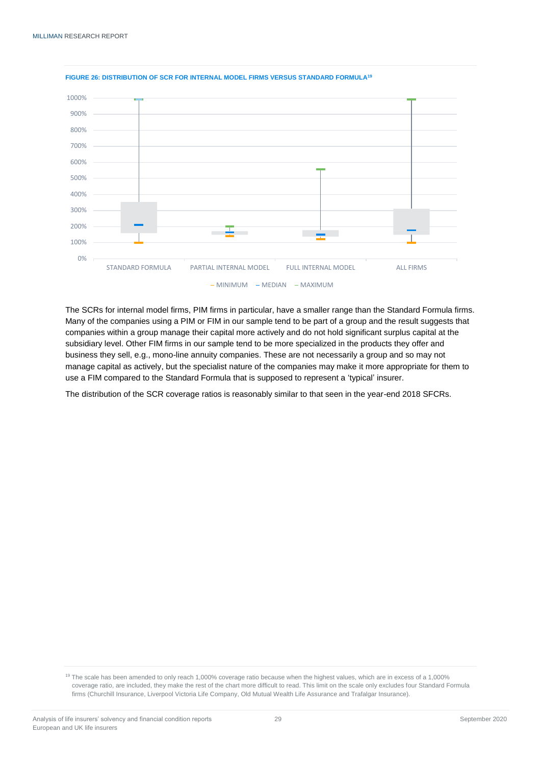

#### **FIGURE 26: DISTRIBUTION OF SCR FOR INTERNAL MODEL FIRMS VERSUS STANDARD FORMULA<sup>19</sup>**

The SCRs for internal model firms, PIM firms in particular, have a smaller range than the Standard Formula firms. Many of the companies using a PIM or FIM in our sample tend to be part of a group and the result suggests that companies within a group manage their capital more actively and do not hold significant surplus capital at the subsidiary level. Other FIM firms in our sample tend to be more specialized in the products they offer and business they sell, e.g., mono-line annuity companies. These are not necessarily a group and so may not manage capital as actively, but the specialist nature of the companies may make it more appropriate for them to use a FIM compared to the Standard Formula that is supposed to represent a 'typical' insurer.

The distribution of the SCR coverage ratios is reasonably similar to that seen in the year-end 2018 SFCRs.

<sup>&</sup>lt;sup>19</sup> The scale has been amended to only reach 1,000% coverage ratio because when the highest values, which are in excess of a 1,000% coverage ratio, are included, they make the rest of the chart more difficult to read. This limit on the scale only excludes four Standard Formula firms (Churchill Insurance, Liverpool Victoria Life Company, Old Mutual Wealth Life Assurance and Trafalgar Insurance).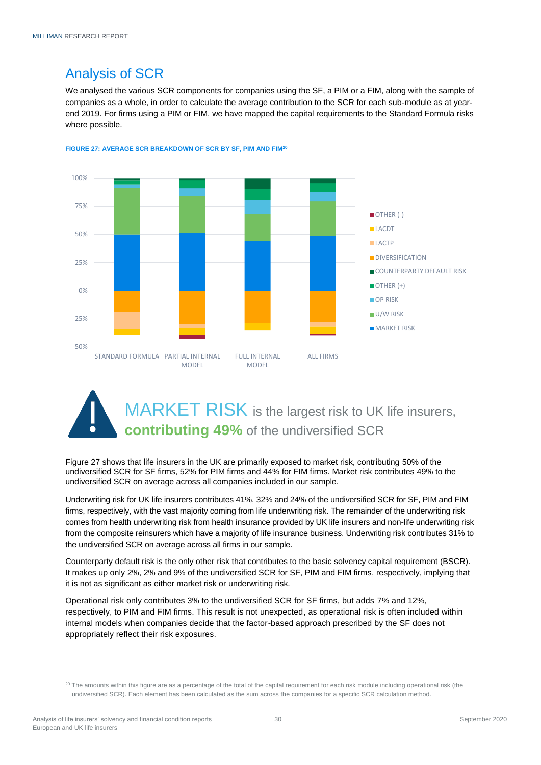# <span id="page-29-0"></span>Analysis of SCR

We analysed the various SCR components for companies using the SF, a PIM or a FIM, along with the sample of companies as a whole, in order to calculate the average contribution to the SCR for each sub-module as at yearend 2019. For firms using a PIM or FIM, we have mapped the capital requirements to the Standard Formula risks where possible.



**FIGURE 27: AVERAGE SCR BREAKDOWN OF SCR BY SF, PIM AND FIM<sup>20</sup>**

# MARKET RISK is the largest risk to UK life insurers, **contributing 49%** of the undiversified SCR

Figure 27 shows that life insurers in the UK are primarily exposed to market risk, contributing 50% of the undiversified SCR for SF firms, 52% for PIM firms and 44% for FIM firms. Market risk contributes 49% to the undiversified SCR on average across all companies included in our sample.

Underwriting risk for UK life insurers contributes 41%, 32% and 24% of the undiversified SCR for SF, PIM and FIM firms, respectively, with the vast majority coming from life underwriting risk. The remainder of the underwriting risk comes from health underwriting risk from health insurance provided by UK life insurers and non-life underwriting risk from the composite reinsurers which have a majority of life insurance business. Underwriting risk contributes 31% to the undiversified SCR on average across all firms in our sample.

Counterparty default risk is the only other risk that contributes to the basic solvency capital requirement (BSCR). It makes up only 2%, 2% and 9% of the undiversified SCR for SF, PIM and FIM firms, respectively, implying that it is not as significant as either market risk or underwriting risk.

Operational risk only contributes 3% to the undiversified SCR for SF firms, but adds 7% and 12%, respectively, to PIM and FIM firms. This result is not unexpected, as operational risk is often included within internal models when companies decide that the factor-based approach prescribed by the SF does not appropriately reflect their risk exposures.

<sup>&</sup>lt;sup>20</sup> The amounts within this figure are as a percentage of the total of the capital requirement for each risk module including operational risk (the undiversified SCR). Each element has been calculated as the sum across the companies for a specific SCR calculation method.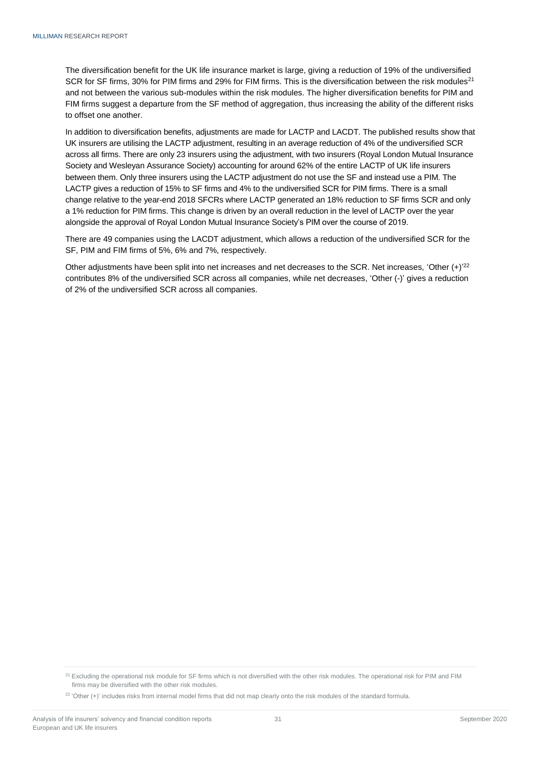The diversification benefit for the UK life insurance market is large, giving a reduction of 19% of the undiversified SCR for SF firms, 30% for PIM firms and 29% for FIM firms. This is the diversification between the risk modules<sup>21</sup> and not between the various sub-modules within the risk modules. The higher diversification benefits for PIM and FIM firms suggest a departure from the SF method of aggregation, thus increasing the ability of the different risks to offset one another.

In addition to diversification benefits, adjustments are made for LACTP and LACDT. The published results show that UK insurers are utilising the LACTP adjustment, resulting in an average reduction of 4% of the undiversified SCR across all firms. There are only 23 insurers using the adjustment, with two insurers (Royal London Mutual Insurance Society and Wesleyan Assurance Society) accounting for around 62% of the entire LACTP of UK life insurers between them. Only three insurers using the LACTP adjustment do not use the SF and instead use a PIM. The LACTP gives a reduction of 15% to SF firms and 4% to the undiversified SCR for PIM firms. There is a small change relative to the year-end 2018 SFCRs where LACTP generated an 18% reduction to SF firms SCR and only a 1% reduction for PIM firms. This change is driven by an overall reduction in the level of LACTP over the year alongside the approval of Royal London Mutual Insurance Society's PIM over the course of 2019.

There are 49 companies using the LACDT adjustment, which allows a reduction of the undiversified SCR for the SF, PIM and FIM firms of 5%, 6% and 7%, respectively.

Other adjustments have been split into net increases and net decreases to the SCR. Net increases, 'Other  $(+)^{22}$ contributes 8% of the undiversified SCR across all companies, while net decreases, 'Other (-)' gives a reduction of 2% of the undiversified SCR across all companies.

<sup>&</sup>lt;sup>21</sup> Excluding the operational risk module for SF firms which is not diversified with the other risk modules. The operational risk for PIM and FIM firms may be diversified with the other risk modules.

 $22$  'Other (+)' includes risks from internal model firms that did not map clearly onto the risk modules of the standard formula.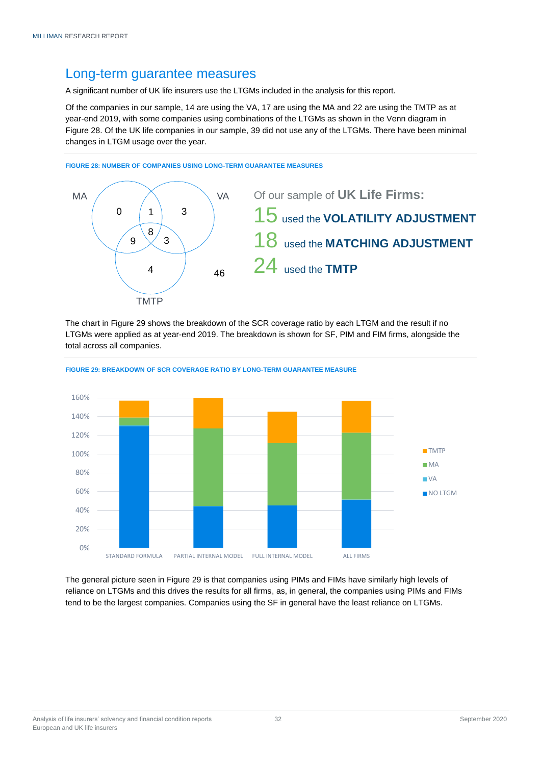### Long-term guarantee measures

A significant number of UK life insurers use the LTGMs included in the analysis for this report.

Of the companies in our sample, 14 are using the VA, 17 are using the MA and 22 are using the TMTP as at year-end 2019, with some companies using combinations of the LTGMs as shown in the Venn diagram in Figure 28. Of the UK life companies in our sample, 39 did not use any of the LTGMs. There have been minimal changes in LTGM usage over the year.



The chart in Figure 29 shows the breakdown of the SCR coverage ratio by each LTGM and the result if no LTGMs were applied as at year-end 2019. The breakdown is shown for SF, PIM and FIM firms, alongside the total across all companies.



**FIGURE 29: BREAKDOWN OF SCR COVERAGE RATIO BY LONG-TERM GUARANTEE MEASURE**

The general picture seen in Figure 29 is that companies using PIMs and FIMs have similarly high levels of reliance on LTGMs and this drives the results for all firms, as, in general, the companies using PIMs and FIMs tend to be the largest companies. Companies using the SF in general have the least reliance on LTGMs.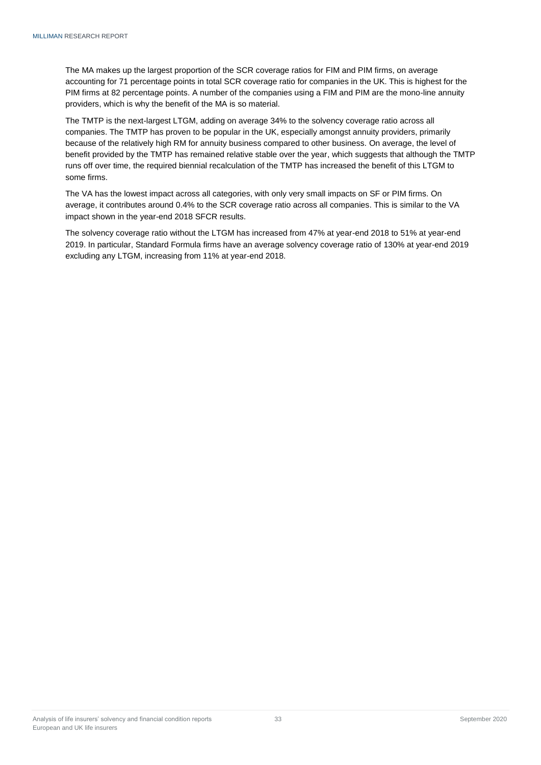The MA makes up the largest proportion of the SCR coverage ratios for FIM and PIM firms, on average accounting for 71 percentage points in total SCR coverage ratio for companies in the UK. This is highest for the PIM firms at 82 percentage points. A number of the companies using a FIM and PIM are the mono-line annuity providers, which is why the benefit of the MA is so material.

The TMTP is the next-largest LTGM, adding on average 34% to the solvency coverage ratio across all companies. The TMTP has proven to be popular in the UK, especially amongst annuity providers, primarily because of the relatively high RM for annuity business compared to other business. On average, the level of benefit provided by the TMTP has remained relative stable over the year, which suggests that although the TMTP runs off over time, the required biennial recalculation of the TMTP has increased the benefit of this LTGM to some firms.

The VA has the lowest impact across all categories, with only very small impacts on SF or PIM firms. On average, it contributes around 0.4% to the SCR coverage ratio across all companies. This is similar to the VA impact shown in the year-end 2018 SFCR results.

The solvency coverage ratio without the LTGM has increased from 47% at year-end 2018 to 51% at year-end 2019. In particular, Standard Formula firms have an average solvency coverage ratio of 130% at year-end 2019 excluding any LTGM, increasing from 11% at year-end 2018.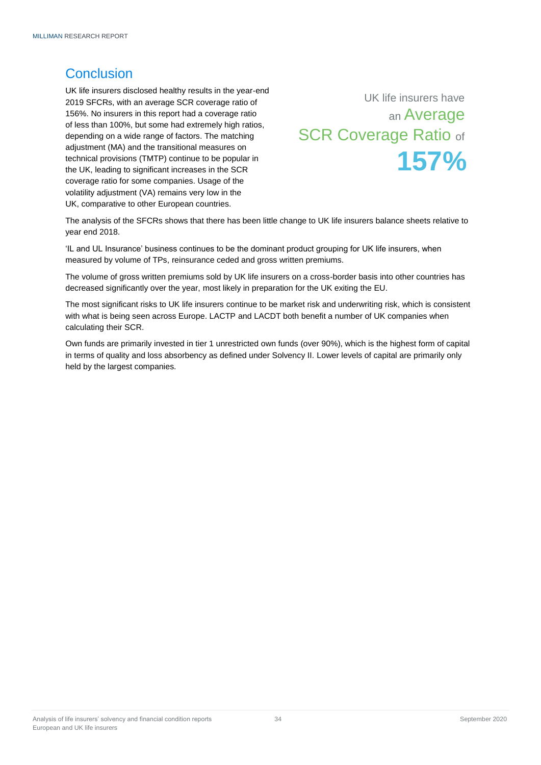## <span id="page-33-0"></span>**Conclusion**

UK life insurers disclosed healthy results in the year-end 2019 SFCRs, with an average SCR coverage ratio of 156%. No insurers in this report had a coverage ratio of less than 100%, but some had extremely high ratios, depending on a wide range of factors. The matching adjustment (MA) and the transitional measures on technical provisions (TMTP) continue to be popular in the UK, leading to significant increases in the SCR coverage ratio for some companies. Usage of the volatility adjustment (VA) remains very low in the UK, comparative to other European countries.

UK life insurers have an Average **SCR Coverage Ratio of 157%**

The analysis of the SFCRs shows that there has been little change to UK life insurers balance sheets relative to year end 2018.

'IL and UL Insurance' business continues to be the dominant product grouping for UK life insurers, when measured by volume of TPs, reinsurance ceded and gross written premiums.

The volume of gross written premiums sold by UK life insurers on a cross-border basis into other countries has decreased significantly over the year, most likely in preparation for the UK exiting the EU.

The most significant risks to UK life insurers continue to be market risk and underwriting risk, which is consistent with what is being seen across Europe. LACTP and LACDT both benefit a number of UK companies when calculating their SCR.

Own funds are primarily invested in tier 1 unrestricted own funds (over 90%), which is the highest form of capital in terms of quality and loss absorbency as defined under Solvency II. Lower levels of capital are primarily only held by the largest companies.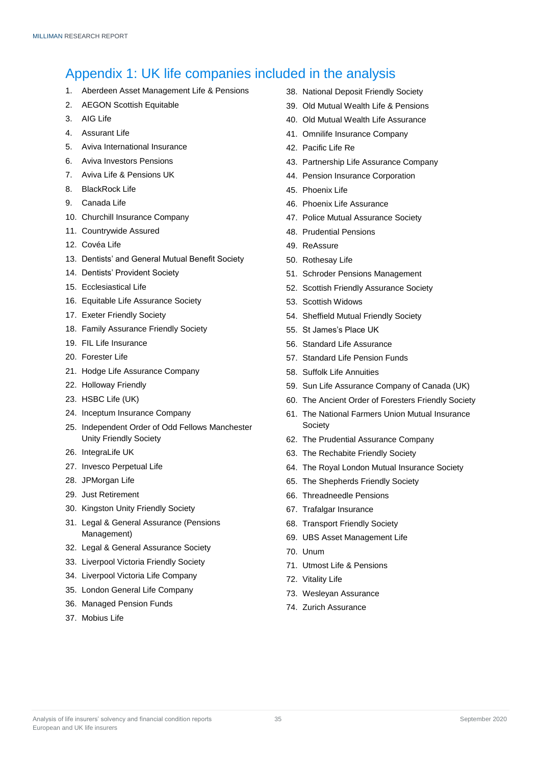## <span id="page-34-0"></span>Appendix 1: UK life companies included in the analysis

- 1. Aberdeen Asset Management Life & Pensions
- 2. AEGON Scottish Equitable
- 3. AIG Life
- 4. Assurant Life
- 5. Aviva International Insurance
- 6. Aviva Investors Pensions
- 7. Aviva Life & Pensions UK
- 8. BlackRock Life
- 9. Canada Life
- 10. Churchill Insurance Company
- 11. Countrywide Assured
- 12. Covéa Life
- 13. Dentists' and General Mutual Benefit Society
- 14. Dentists' Provident Society
- 15. Ecclesiastical Life
- 16. Equitable Life Assurance Society
- 17. Exeter Friendly Society
- 18. Family Assurance Friendly Society
- 19. FIL Life Insurance
- 20. Forester Life
- 21. Hodge Life Assurance Company
- 22. Holloway Friendly
- 23. HSBC Life (UK)
- 24. Inceptum Insurance Company
- 25. Independent Order of Odd Fellows Manchester Unity Friendly Society
- 26. IntegraLife UK
- 27. Invesco Perpetual Life
- 28. JPMorgan Life
- 29. Just Retirement
- 30. Kingston Unity Friendly Society
- 31. Legal & General Assurance (Pensions Management)
- 32. Legal & General Assurance Society
- 33. Liverpool Victoria Friendly Society
- 34. Liverpool Victoria Life Company
- 35. London General Life Company
- 36. Managed Pension Funds
- 37. Mobius Life
- 38. National Deposit Friendly Society
- 39. Old Mutual Wealth Life & Pensions
- 40. Old Mutual Wealth Life Assurance
- 41. Omnilife Insurance Company
- 42. Pacific Life Re
- 43. Partnership Life Assurance Company
- 44. Pension Insurance Corporation
- 45. Phoenix Life
- 46. Phoenix Life Assurance
- 47. Police Mutual Assurance Society
- 48. Prudential Pensions
- 49. ReAssure
- 50. Rothesay Life
- 51. Schroder Pensions Management
- 52. Scottish Friendly Assurance Society
- 53. Scottish Widows
- 54. Sheffield Mutual Friendly Society
- 55. St James's Place UK
- 56. Standard Life Assurance
- 57. Standard Life Pension Funds
- 58. Suffolk Life Annuities
- 59. Sun Life Assurance Company of Canada (UK)
- 60. The Ancient Order of Foresters Friendly Society
- 61. The National Farmers Union Mutual Insurance Society
- 62. The Prudential Assurance Company
- 63. The Rechabite Friendly Society
- 64. The Royal London Mutual Insurance Society
- 65. The Shepherds Friendly Society
- 66. Threadneedle Pensions
- 67. Trafalgar Insurance
- 68. Transport Friendly Society
- 69. UBS Asset Management Life
- 70. Unum
- 71. Utmost Life & Pensions
- 72. Vitality Life
- 73. Wesleyan Assurance
- 74. Zurich Assurance